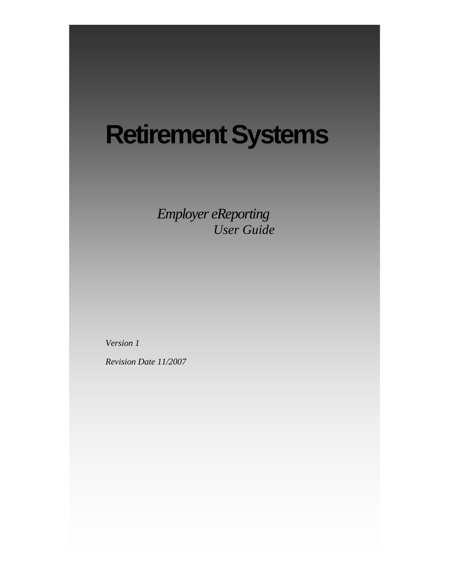# **Retirement Systems**

*Employer eReporting User Guide* 

*Version 1* 

*Revision Date 11/2007*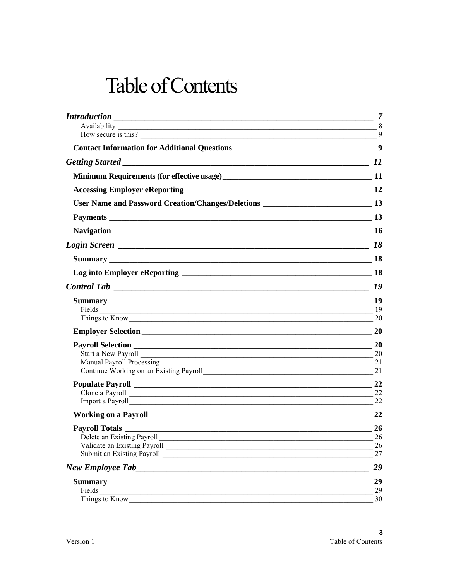## **Table of Contents**

|                                                                                                                                                                                                                                                        | $\overline{\phantom{1}}$ 7 |
|--------------------------------------------------------------------------------------------------------------------------------------------------------------------------------------------------------------------------------------------------------|----------------------------|
|                                                                                                                                                                                                                                                        |                            |
| How secure is this?                                                                                                                                                                                                                                    | 9                          |
|                                                                                                                                                                                                                                                        |                            |
|                                                                                                                                                                                                                                                        |                            |
|                                                                                                                                                                                                                                                        |                            |
|                                                                                                                                                                                                                                                        |                            |
| User Name and Password Creation/Changes/Deletions _______________________________13                                                                                                                                                                    |                            |
|                                                                                                                                                                                                                                                        |                            |
|                                                                                                                                                                                                                                                        |                            |
|                                                                                                                                                                                                                                                        |                            |
|                                                                                                                                                                                                                                                        |                            |
|                                                                                                                                                                                                                                                        |                            |
|                                                                                                                                                                                                                                                        |                            |
|                                                                                                                                                                                                                                                        |                            |
| Fields <u>and the same of the same of the same of the same of the same of the same of the same of the same of the same of the same of the same of the same of the same of the same of the same of the same of the same of the sa</u><br>Things to Know | 19<br>20                   |
|                                                                                                                                                                                                                                                        | 20                         |
|                                                                                                                                                                                                                                                        | 20                         |
| Start a New Payroll Start and Start and Start and Start and Start and Start and Start and Start and Start and Start and Start and Start and Start and Start and Start and Start and Start and Start and Start and Start and St                         | 20                         |
| Manual Payroll Processing<br><u> 1990 - Jan James James Jan James James James James James James James James James James James James James Jam</u>                                                                                                      | 21                         |
|                                                                                                                                                                                                                                                        | 21                         |
|                                                                                                                                                                                                                                                        | 22                         |
|                                                                                                                                                                                                                                                        | 22                         |
|                                                                                                                                                                                                                                                        | 22                         |
|                                                                                                                                                                                                                                                        | 22                         |
|                                                                                                                                                                                                                                                        | 26                         |
| Delete an Existing Payroll                                                                                                                                                                                                                             | 26                         |
|                                                                                                                                                                                                                                                        | 26                         |
|                                                                                                                                                                                                                                                        | 27                         |
|                                                                                                                                                                                                                                                        | 29                         |
|                                                                                                                                                                                                                                                        | 29                         |
| Fields<br><u> 1989 - Johann Stein, mars an deus Amerikaansk kommunister (* 1958)</u>                                                                                                                                                                   | 29                         |
| Things to Know                                                                                                                                                                                                                                         | 30                         |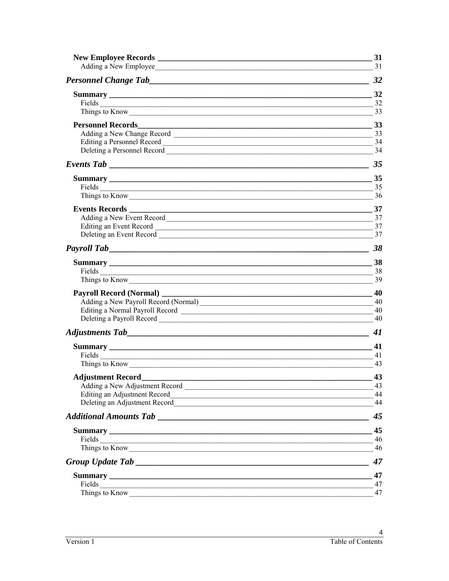|                                                                                                                                                                                                                                                        | 31<br>$\frac{31}{2}$                    |
|--------------------------------------------------------------------------------------------------------------------------------------------------------------------------------------------------------------------------------------------------------|-----------------------------------------|
|                                                                                                                                                                                                                                                        |                                         |
| Things to Know 33                                                                                                                                                                                                                                      | 32                                      |
| <b>Personnel Records</b>                                                                                                                                                                                                                               | $\frac{33}{2}$<br>$\frac{33}{2}$<br>-34 |
|                                                                                                                                                                                                                                                        | $\frac{35}{2}$                          |
| 35<br>Fields                                                                                                                                                                                                                                           | 37                                      |
|                                                                                                                                                                                                                                                        | 38                                      |
| Things to Know                                                                                                                                                                                                                                         | 38<br>39                                |
| Payroll Record (Normal) ________<br>Adding a New Payroll Record (Normal) 40                                                                                                                                                                            | $\sim$ 40                               |
|                                                                                                                                                                                                                                                        | 41                                      |
| Things to Know                                                                                                                                                                                                                                         | -41<br>43                               |
| Editing an Adjustment Record<br>Deleting an Adjustment Record<br><u>Leting</u> an Adjustment Record<br><u>Leting</u>                                                                                                                                   | 43<br>43<br>44<br>44                    |
|                                                                                                                                                                                                                                                        | 45                                      |
| Fields <u>and the same of the same of the same of the same of the same of the same of the same of the same of the same of the same of the same of the same of the same of the same of the same of the same of the same of the sa</u><br>Things to Know | 45<br>46<br>46                          |
|                                                                                                                                                                                                                                                        | 47                                      |
| Things to Know                                                                                                                                                                                                                                         | 47<br>47<br>47                          |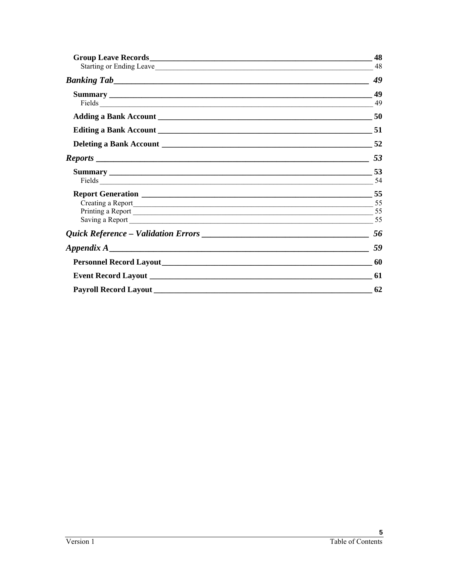| Fields 49         |      |
|-------------------|------|
|                   |      |
|                   |      |
|                   |      |
|                   | - 54 |
|                   |      |
|                   |      |
|                   |      |
|                   | 56   |
| Appendix $A_1$ 59 |      |
|                   |      |
|                   |      |
|                   |      |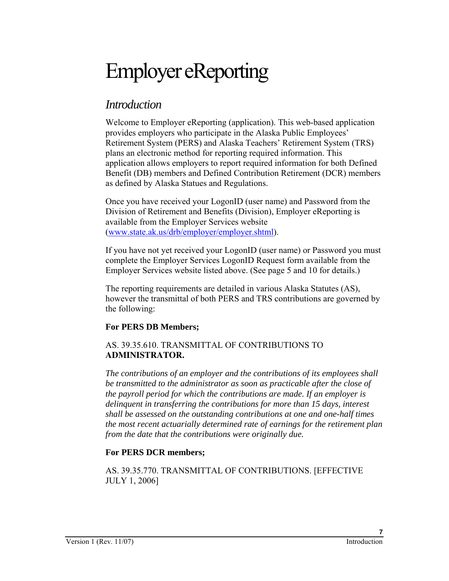# Employer eReporting

## *Introduction*

Welcome to Employer eReporting (application). This web-based application provides employers who participate in the Alaska Public Employees' Retirement System (PERS) and Alaska Teachers' Retirement System (TRS) plans an electronic method for reporting required information. This application allows employers to report required information for both Defined Benefit (DB) members and Defined Contribution Retirement (DCR) members as defined by Alaska Statues and Regulations.

Once you have received your LogonID (user name) and Password from the Division of Retirement and Benefits (Division), Employer eReporting is available from the Employer Services website (www.state.ak.us/drb/employer/employer.shtml).

If you have not yet received your LogonID (user name) or Password you must complete the Employer Services LogonID Request form available from the Employer Services website listed above. (See page 5 and 10 for details.)

The reporting requirements are detailed in various Alaska Statutes (AS), however the transmittal of both PERS and TRS contributions are governed by the following:

#### **For PERS DB Members;**

#### AS. 39.35.610. TRANSMITTAL OF CONTRIBUTIONS TO **ADMINISTRATOR.**

*The contributions of an employer and the contributions of its employees shall be transmitted to the administrator as soon as practicable after the close of the payroll period for which the contributions are made. If an employer is delinquent in transferring the contributions for more than 15 days, interest shall be assessed on the outstanding contributions at one and one-half times the most recent actuarially determined rate of earnings for the retirement plan from the date that the contributions were originally due.* 

#### **For PERS DCR members;**

AS. 39.35.770. TRANSMITTAL OF CONTRIBUTIONS. [EFFECTIVE JULY 1, 2006]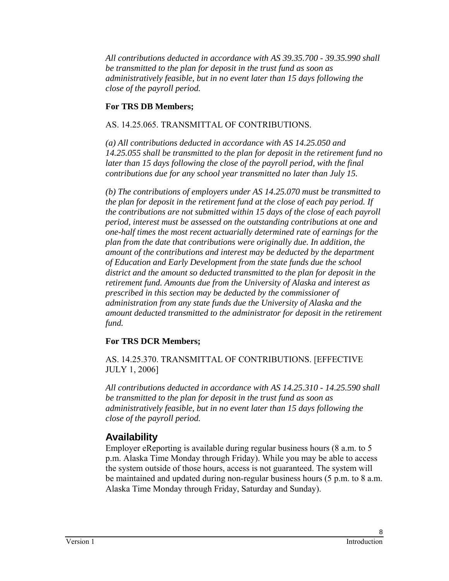*All contributions deducted in accordance with AS 39.35.700 - 39.35.990 shall be transmitted to the plan for deposit in the trust fund as soon as administratively feasible, but in no event later than 15 days following the close of the payroll period.*

#### **For TRS DB Members;**

#### AS. 14.25.065. TRANSMITTAL OF CONTRIBUTIONS.

*(a) All contributions deducted in accordance with AS 14.25.050 and 14.25.055 shall be transmitted to the plan for deposit in the retirement fund no later than 15 days following the close of the payroll period, with the final contributions due for any school year transmitted no later than July 15.* 

*(b) The contributions of employers under AS 14.25.070 must be transmitted to the plan for deposit in the retirement fund at the close of each pay period. If the contributions are not submitted within 15 days of the close of each payroll period, interest must be assessed on the outstanding contributions at one and one-half times the most recent actuarially determined rate of earnings for the plan from the date that contributions were originally due. In addition, the amount of the contributions and interest may be deducted by the department of Education and Early Development from the state funds due the school district and the amount so deducted transmitted to the plan for deposit in the retirement fund. Amounts due from the University of Alaska and interest as prescribed in this section may be deducted by the commissioner of administration from any state funds due the University of Alaska and the amount deducted transmitted to the administrator for deposit in the retirement fund.* 

#### **For TRS DCR Members;**

AS. 14.25.370. TRANSMITTAL OF CONTRIBUTIONS. [EFFECTIVE JULY 1, 2006]

*All contributions deducted in accordance with AS 14.25.310 - 14.25.590 shall be transmitted to the plan for deposit in the trust fund as soon as administratively feasible, but in no event later than 15 days following the close of the payroll period.*

## **Availability**

Employer eReporting is available during regular business hours (8 a.m. to 5 p.m. Alaska Time Monday through Friday). While you may be able to access the system outside of those hours, access is not guaranteed. The system will be maintained and updated during non-regular business hours (5 p.m. to 8 a.m. Alaska Time Monday through Friday, Saturday and Sunday).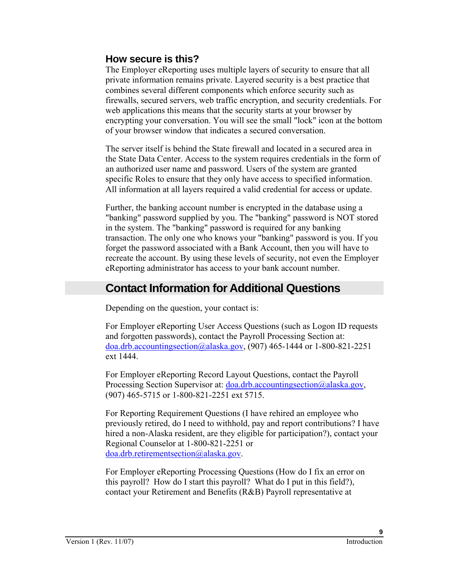### **How secure is this?**

The Employer eReporting uses multiple layers of security to ensure that all private information remains private. Layered security is a best practice that combines several different components which enforce security such as firewalls, secured servers, web traffic encryption, and security credentials. For web applications this means that the security starts at your browser by encrypting your conversation. You will see the small "lock" icon at the bottom of your browser window that indicates a secured conversation.

The server itself is behind the State firewall and located in a secured area in the State Data Center. Access to the system requires credentials in the form of an authorized user name and password. Users of the system are granted specific Roles to ensure that they only have access to specified information. All information at all layers required a valid credential for access or update.

Further, the banking account number is encrypted in the database using a "banking" password supplied by you. The "banking" password is NOT stored in the system. The "banking" password is required for any banking transaction. The only one who knows your "banking" password is you. If you forget the password associated with a Bank Account, then you will have to recreate the account. By using these levels of security, not even the Employer eReporting administrator has access to your bank account number.

## **Contact Information for Additional Questions**

Depending on the question, your contact is:

For Employer eReporting User Access Questions (such as Logon ID requests and forgotten passwords), contact the Payroll Processing Section at: doa.drb.accountingsection@alaska.gov, (907) 465-1444 or 1-800-821-2251 ext 1444.

For Employer eReporting Record Layout Questions, contact the Payroll Processing Section Supervisor at: doa.drb.accountingsection@alaska.gov, (907) 465-5715 or 1-800-821-2251 ext 5715.

For Reporting Requirement Questions (I have rehired an employee who previously retired, do I need to withhold, pay and report contributions? I have hired a non-Alaska resident, are they eligible for participation?), contact your Regional Counselor at 1-800-821-2251 or doa.drb.retirementsection@alaska.gov.

For Employer eReporting Processing Questions (How do I fix an error on this payroll? How do I start this payroll? What do I put in this field?), contact your Retirement and Benefits (R&B) Payroll representative at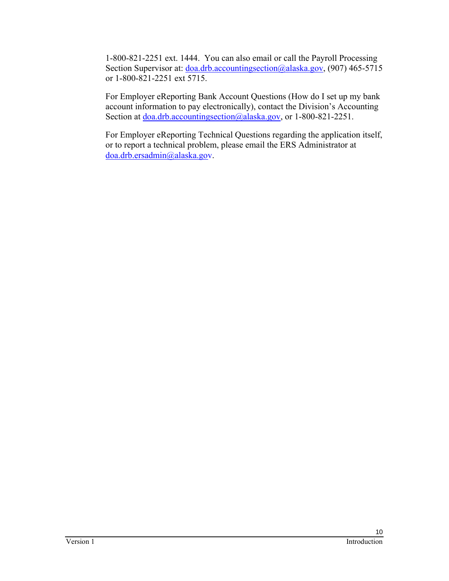1-800-821-2251 ext. 1444. You can also email or call the Payroll Processing Section Supervisor at: doa.drb.accountingsection@alaska.gov, (907) 465-5715 or 1-800-821-2251 ext 5715.

For Employer eReporting Bank Account Questions (How do I set up my bank account information to pay electronically), contact the Division's Accounting Section at <u>doa.drb.accountingsection@alaska</u>.gov, or 1-800-821-2251.

For Employer eReporting Technical Questions regarding the application itself, or to report a technical problem, please email the ERS Administrator at [doa.drb.ersadmin@alaska.gov.](mailto:doa.drb.ersadmin@alaska.gov)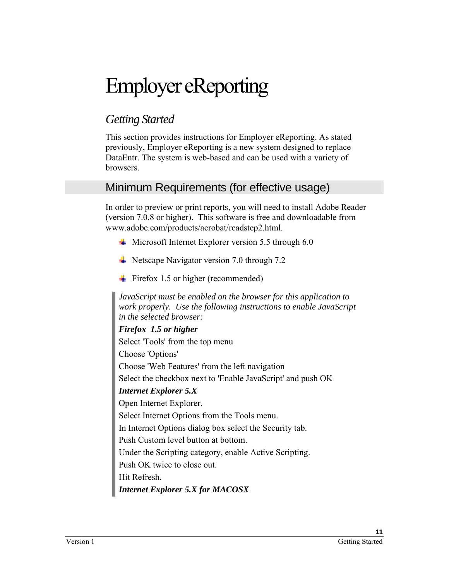# Employer eReporting

## *Getting Started*

This section provides instructions for Employer eReporting. As stated previously, Employer eReporting is a new system designed to replace DataEntr. The system is web-based and can be used with a variety of browsers.

## Minimum Requirements (for effective usage)

In order to preview or print reports, you will need to install Adobe Reader (version 7.0.8 or higher). This software is free and downloadable from www.adobe.com/products/acrobat/readstep2.html.

- $\overline{\phantom{a}}$  Microsoft Internet Explorer version 5.5 through 6.0
- $\overline{\phantom{1}}$  Netscape Navigator version 7.0 through 7.2
- $\div$  Firefox 1.5 or higher (recommended)

*JavaScript must be enabled on the browser for this application to work properly. Use the following instructions to enable JavaScript in the selected browser:* 

### *Firefox 1.5 or higher*  Select 'Tools' from the top menu Choose 'Options' Choose 'Web Features' from the left navigation Select the checkbox next to 'Enable JavaScript' and push OK *Internet Explorer 5.X*  Open Internet Explorer. Select Internet Options from the Tools menu. In Internet Options dialog box select the Security tab. Push Custom level button at bottom. Under the Scripting category, enable Active Scripting. Push OK twice to close out.

Hit Refresh.

*Internet Explorer 5.X for MACOSX*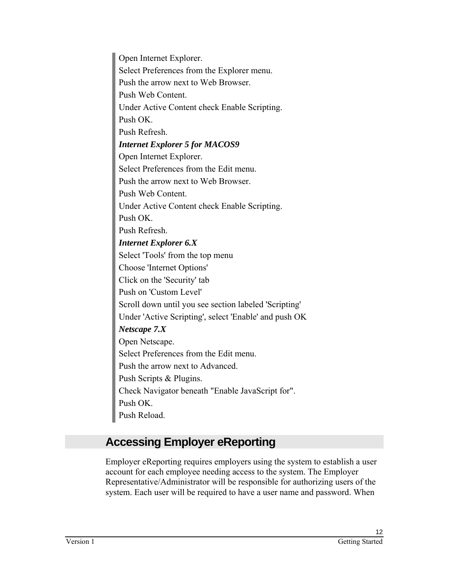Open Internet Explorer. Select Preferences from the Explorer menu. Push the arrow next to Web Browser. Push Web Content. Under Active Content check Enable Scripting. Push OK. Push Refresh. *Internet Explorer 5 for MACOS9*  Open Internet Explorer. Select Preferences from the Edit menu. Push the arrow next to Web Browser. Push Web Content. Under Active Content check Enable Scripting. Push OK. Push Refresh. *Internet Explorer 6.X*  Select 'Tools' from the top menu Choose 'Internet Options' Click on the 'Security' tab Push on 'Custom Level' Scroll down until you see section labeled 'Scripting' Under 'Active Scripting', select 'Enable' and push OK *Netscape 7.X*  Open Netscape. Select Preferences from the Edit menu. Push the arrow next to Advanced. Push Scripts & Plugins. Check Navigator beneath "Enable JavaScript for". Push OK. Push Reload.

## **Accessing Employer eReporting**

Employer eReporting requires employers using the system to establish a user account for each employee needing access to the system. The Employer Representative/Administrator will be responsible for authorizing users of the system. Each user will be required to have a user name and password. When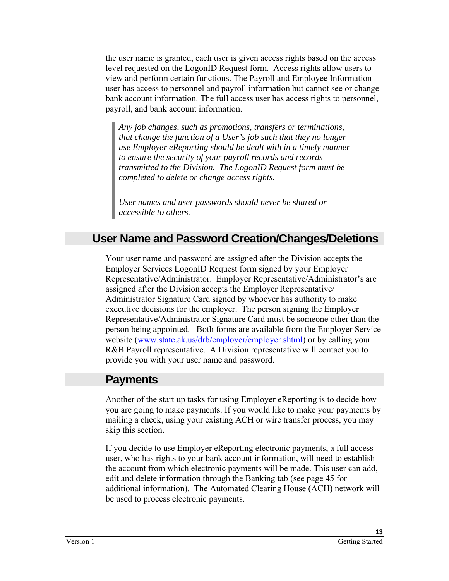the user name is granted, each user is given access rights based on the access level requested on the LogonID Request form. Access rights allow users to view and perform certain functions. The Payroll and Employee Information user has access to personnel and payroll information but cannot see or change bank account information. The full access user has access rights to personnel, payroll, and bank account information.

*Any job changes, such as promotions, transfers or terminations, that change the function of a User's job such that they no longer use Employer eReporting should be dealt with in a timely manner to ensure the security of your payroll records and records transmitted to the Division. The LogonID Request form must be completed to delete or change access rights.* 

*User names and user passwords should never be shared or accessible to others.* 

## **User Name and Password Creation/Changes/Deletions**

Your user name and password are assigned after the Division accepts the Employer Services LogonID Request form signed by your Employer Representative/Administrator. Employer Representative/Administrator's are assigned after the Division accepts the Employer Representative/ Administrator Signature Card signed by whoever has authority to make executive decisions for the employer. The person signing the Employer Representative/Administrator Signature Card must be someone other than the person being appointed. Both forms are available from the Employer Service website (www.state.ak.us/drb/employer/employer.shtml) or by calling your R&B Payroll representative. A Division representative will contact you to provide you with your user name and password.

## **Payments**

Another of the start up tasks for using Employer eReporting is to decide how you are going to make payments. If you would like to make your payments by mailing a check, using your existing ACH or wire transfer process, you may skip this section.

If you decide to use Employer eReporting electronic payments, a full access user, who has rights to your bank account information, will need to establish the account from which electronic payments will be made. This user can add, edit and delete information through the Banking tab (see page 45 for additional information). The Automated Clearing House (ACH) network will be used to process electronic payments.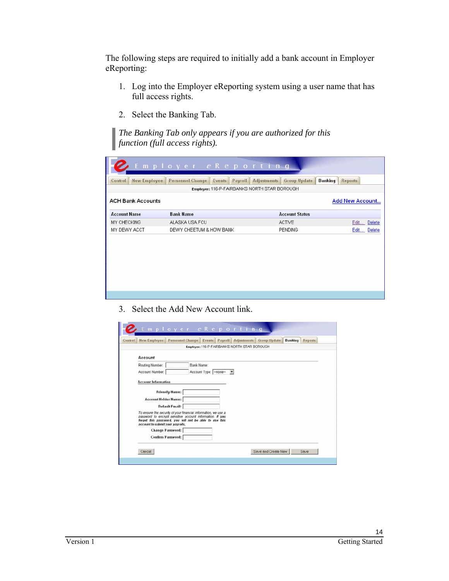The following steps are required to initially add a bank account in Employer eReporting:

- 1. Log into the Employer eReporting system using a user name that has full access rights.
- 2. Select the Banking Tab.

*The Banking Tab only appears if you are authorized for this function (full access rights).* 

| <b>New Employee</b><br>Control | <b>Personnel Change</b><br>Payroll<br>Events | <b>Banking</b><br>Adjustments<br><b>Group Update</b> | Reports                |  |
|--------------------------------|----------------------------------------------|------------------------------------------------------|------------------------|--|
|                                | Employer: 116-P-FAIRBANKS NORTH STAR BOROUGH |                                                      |                        |  |
| <b>ACH Bank Accounts</b>       |                                              |                                                      | <b>Add New Account</b> |  |
| <b>Account Name</b>            | <b>Bank Name</b>                             | <b>Account Status</b>                                |                        |  |
| MY CHECKING                    | ALASKA USA FCU                               | ACTIVE                                               | Edit Delete            |  |
| MY DEWY ACCT                   | DEWY CHEETUM & HOW BANK                      | <b>PENDING</b>                                       | Edit Delete            |  |
|                                |                                              |                                                      |                        |  |
|                                |                                              |                                                      |                        |  |
|                                |                                              |                                                      |                        |  |

3. Select the Add New Account link.

| New Employee                                                     | Personnel Change Events Payroll Adjustments                                                                                                                                                                    |                       |                          | Employer: 116-P-FAIRBANKS NORTH STAR BOROUGH | <b>Group Update</b> | Banking | <b>Reports</b> |
|------------------------------------------------------------------|----------------------------------------------------------------------------------------------------------------------------------------------------------------------------------------------------------------|-----------------------|--------------------------|----------------------------------------------|---------------------|---------|----------------|
| Account                                                          |                                                                                                                                                                                                                |                       |                          |                                              |                     |         |                |
| Routing Number:<br>Account Number:<br><b>Account Information</b> | Bank Name:                                                                                                                                                                                                     | Account Type: - none- | $\overline{\phantom{a}}$ |                                              |                     |         |                |
| <b>Account Holder Name:</b>                                      | <b>Friendly Name:</b>                                                                                                                                                                                          |                       |                          |                                              |                     |         |                |
| account to submit your payrolls.                                 | <b>Default Email:</b><br>To ensure the security of your financial information, we use a<br>password to encrypt sensitive account information. If you<br>forget this password, you will not be able to use this |                       |                          |                                              |                     |         |                |
|                                                                  | <b>Change Password:</b><br><b>Confirm Password:</b>                                                                                                                                                            |                       |                          |                                              |                     |         |                |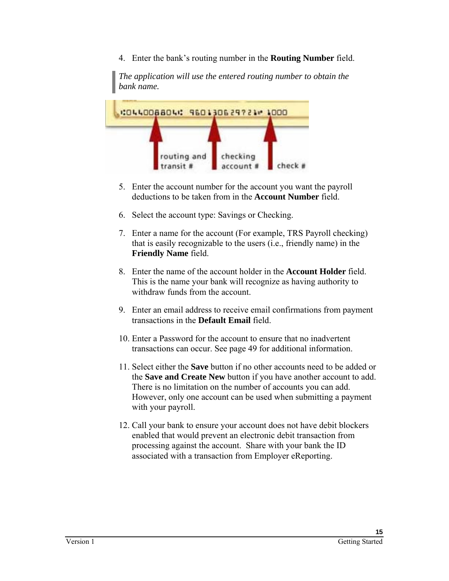4. Enter the bank's routing number in the **Routing Number** field.

*The application will use the entered routing number to obtain the bank name.* 



- 5. Enter the account number for the account you want the payroll deductions to be taken from in the **Account Number** field.
- 6. Select the account type: Savings or Checking.
- 7. Enter a name for the account (For example, TRS Payroll checking) that is easily recognizable to the users (i.e., friendly name) in the **Friendly Name** field.
- 8. Enter the name of the account holder in the **Account Holder** field. This is the name your bank will recognize as having authority to withdraw funds from the account.
- 9. Enter an email address to receive email confirmations from payment transactions in the **Default Email** field.
- 10. Enter a Password for the account to ensure that no inadvertent transactions can occur. See page 49 for additional information.
- 11. Select either the **Save** button if no other accounts need to be added or the **Save and Create New** button if you have another account to add. There is no limitation on the number of accounts you can add. However, only one account can be used when submitting a payment with your payroll.
- 12. Call your bank to ensure your account does not have debit blockers enabled that would prevent an electronic debit transaction from processing against the account. Share with your bank the ID associated with a transaction from Employer eReporting.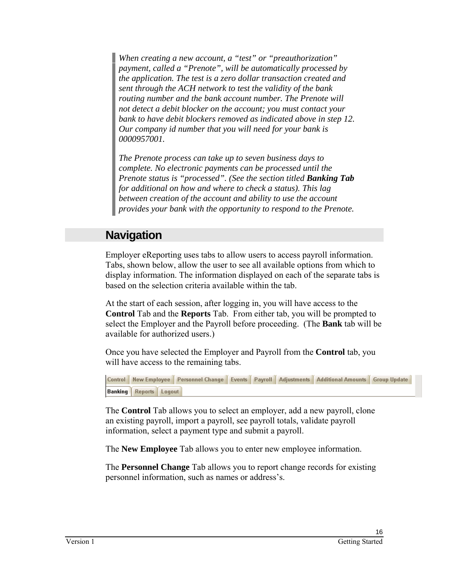*When creating a new account, a "test" or "preauthorization" payment, called a "Prenote", will be automatically processed by the application. The test is a zero dollar transaction created and sent through the ACH network to test the validity of the bank routing number and the bank account number. The Prenote will not detect a debit blocker on the account; you must contact your bank to have debit blockers removed as indicated above in step 12. Our company id number that you will need for your bank is 0000957001.* 

*The Prenote process can take up to seven business days to complete. No electronic payments can be processed until the Prenote status is "processed". (See the section titled Banking Tab for additional on how and where to check a status). This lag between creation of the account and ability to use the account provides your bank with the opportunity to respond to the Prenote.* 

## **Navigation**

Employer eReporting uses tabs to allow users to access payroll information. Tabs, shown below, allow the user to see all available options from which to display information. The information displayed on each of the separate tabs is based on the selection criteria available within the tab.

At the start of each session, after logging in, you will have access to the **Control** Tab and the **Reports** Tab. From either tab, you will be prompted to select the Employer and the Payroll before proceeding. (The **Bank** tab will be available for authorized users.)

Once you have selected the Employer and Payroll from the **Control** tab, you will have access to the remaining tabs.

Control | New Employee | Personnel Change | Events | Payroll | Adjustments | Additional Amounts | Group Update **Banking Reports Logout** 

The **Control** Tab allows you to select an employer, add a new payroll, clone an existing payroll, import a payroll, see payroll totals, validate payroll information, select a payment type and submit a payroll.

The **New Employee** Tab allows you to enter new employee information.

The **Personnel Change** Tab allows you to report change records for existing personnel information, such as names or address's.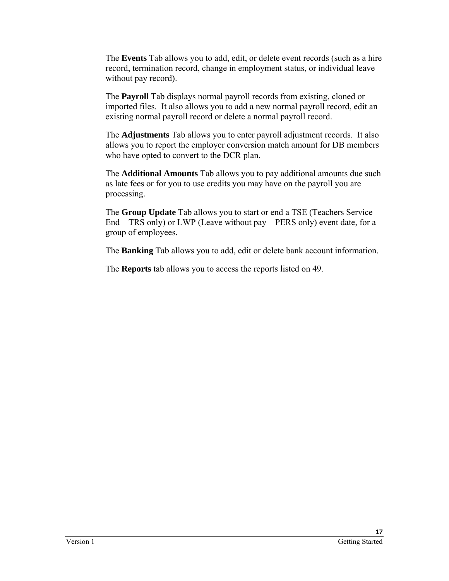The **Events** Tab allows you to add, edit, or delete event records (such as a hire record, termination record, change in employment status, or individual leave without pay record).

The **Payroll** Tab displays normal payroll records from existing, cloned or imported files. It also allows you to add a new normal payroll record, edit an existing normal payroll record or delete a normal payroll record.

The **Adjustments** Tab allows you to enter payroll adjustment records. It also allows you to report the employer conversion match amount for DB members who have opted to convert to the DCR plan.

The **Additional Amounts** Tab allows you to pay additional amounts due such as late fees or for you to use credits you may have on the payroll you are processing.

The **Group Update** Tab allows you to start or end a TSE (Teachers Service End – TRS only) or LWP (Leave without pay – PERS only) event date, for a group of employees.

The **Banking** Tab allows you to add, edit or delete bank account information.

The **Reports** tab allows you to access the reports listed on 49.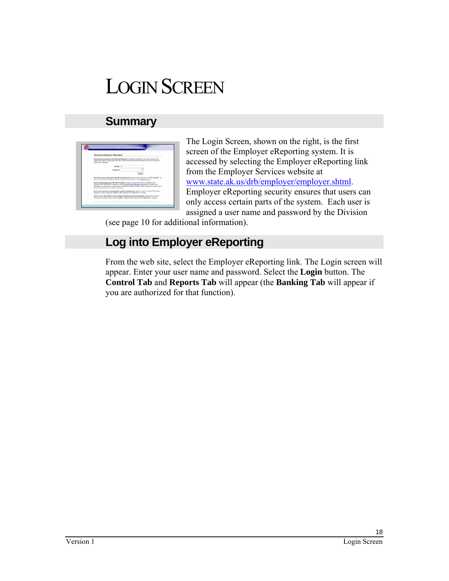# LOGIN SCREEN

## **Summary**

| Welcome to Employer eReporting!                                                |                   |                                                                                                                                                                                                                                                                                                   |  |
|--------------------------------------------------------------------------------|-------------------|---------------------------------------------------------------------------------------------------------------------------------------------------------------------------------------------------------------------------------------------------------------------------------------------------|--|
| Recovered & Spielto.                                                           |                   | If you have needed your that \$1 and Passaced by England villageding, you has control to the<br>efigenting system. Fissee erler the User El and Password that were accepted to you by the Delestin of                                                                                             |  |
|                                                                                | <b>House Mill</b> |                                                                                                                                                                                                                                                                                                   |  |
|                                                                                | Fannancia         |                                                                                                                                                                                                                                                                                                   |  |
|                                                                                |                   | Linger                                                                                                                                                                                                                                                                                            |  |
|                                                                                |                   | If you have not product your than \$1 and Funnaced, stress contact the Group of 2021 (80, 302). Co.<br>can may downtood the Employer Constant Lagorith request horn have the ENZ Furney List                                                                                                      |  |
| phone car turbed for additional county                                         |                   | If you have began you than \$1 as Famound, stress catact the Consent of LED/231-2301.<br>automore 3021 (\$05,007) as Amend, or what automorphous houghamps shots as up to request your<br>information. If you choose to entual, please exclude your employer market, many and phone market, and a |  |
| Signessor Tamma Virgins at 1.400-821-2207 enters on 6715 (465-5715 e. Juneau). |                   | If you have goodbass requeding the reporting regulateased. Strate contact our Factor Prices and                                                                                                                                                                                                   |  |
|                                                                                |                   | If you at your bifurnation Services exposed staff back trainated questions reporting the stached<br>month and 200 PM (2014) 1996 1997 William March 14 St (400 M) and 100 M) and 100 M/H (400 M)                                                                                                  |  |

The Login Screen, shown on the right, is the first screen of the Employer eReporting system. It is accessed by selecting the Employer eReporting link from the Employer Services website at www.state.ak.us/drb/employer/employer.shtml. Employer eReporting security ensures that users can only access certain parts of the system. Each user is assigned a user name and password by the Division

(see page 10 for additional information).

## **Log into Employer eReporting**

From the web site, select the Employer eReporting link. The Login screen will appear. Enter your user name and password. Select the **Login** button. The **Control Tab** and **Reports Tab** will appear (the **Banking Tab** will appear if you are authorized for that function).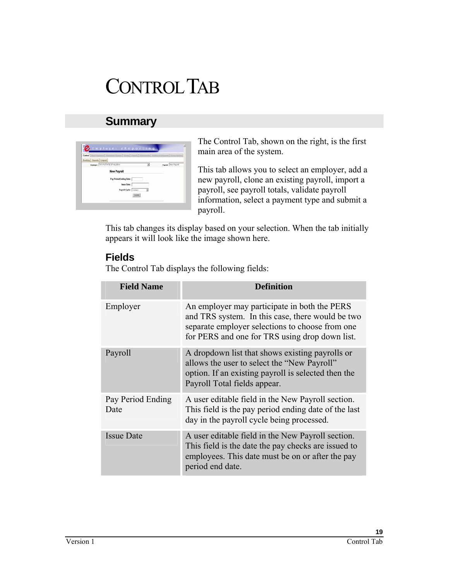# CONTROL TAB

## **Summary**

| Control |                              |                                         |   | ٠ |                            |
|---------|------------------------------|-----------------------------------------|---|---|----------------------------|
|         | <b>Leking Reports Logist</b> |                                         |   |   |                            |
|         |                              | <b>Englisher: 101-P-STATE OF ALASKA</b> | Ξ |   | <b>Payroll</b> New Payroll |
|         |                              | New Payroll                             |   |   |                            |
|         |                              | Pay Period Ending Date:                 |   |   |                            |
|         |                              | <b>Issue Date:</b>                      |   |   |                            |
|         |                              | Payroll Cycle: - none-                  |   |   |                            |
|         |                              |                                         |   |   |                            |

The Control Tab, shown on the right, is the first main area of the system.

This tab allows you to select an employer, add a new payroll, clone an existing payroll, import a payroll, see payroll totals, validate payroll information, select a payment type and submit a payroll.

This tab changes its display based on your selection. When the tab initially appears it will look like the image shown here.

### **Fields**

The Control Tab displays the following fields:

| <b>Field Name</b>         | Definition                                                                                                                                                                                            |
|---------------------------|-------------------------------------------------------------------------------------------------------------------------------------------------------------------------------------------------------|
| Employer                  | An employer may participate in both the PERS<br>and TRS system. In this case, there would be two<br>separate employer selections to choose from one<br>for PERS and one for TRS using drop down list. |
| Payroll                   | A dropdown list that shows existing payrolls or<br>allows the user to select the "New Payroll"<br>option. If an existing payroll is selected then the<br>Payroll Total fields appear.                 |
| Pay Period Ending<br>Date | A user editable field in the New Payroll section.<br>This field is the pay period ending date of the last<br>day in the payroll cycle being processed.                                                |
| <b>Issue Date</b>         | A user editable field in the New Payroll section.<br>This field is the date the pay checks are issued to<br>employees. This date must be on or after the pay<br>period end date.                      |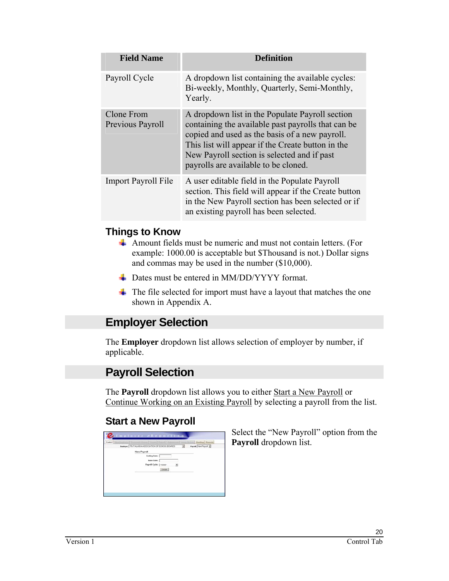| <b>Field Name</b>              | Definition                                                                                                                                                                                                                                                                                          |
|--------------------------------|-----------------------------------------------------------------------------------------------------------------------------------------------------------------------------------------------------------------------------------------------------------------------------------------------------|
| Payroll Cycle                  | A dropdown list containing the available cycles:<br>Bi-weekly, Monthly, Quarterly, Semi-Monthly,<br>Yearly.                                                                                                                                                                                         |
| Clone From<br>Previous Payroll | A dropdown list in the Populate Payroll section<br>containing the available past payrolls that can be<br>copied and used as the basis of a new payroll.<br>This list will appear if the Create button in the<br>New Payroll section is selected and if past<br>payrolls are available to be cloned. |
| <b>Import Payroll File</b>     | A user editable field in the Populate Payroll<br>section. This field will appear if the Create button<br>in the New Payroll section has been selected or if<br>an existing payroll has been selected.                                                                                               |

### **Things to Know**

- Amount fields must be numeric and must not contain letters. (For example: 1000.00 is acceptable but \$Thousand is not.) Dollar signs and commas may be used in the number (\$10,000).
- Dates must be entered in MM/DD/YYYY format.
- $\overline{\phantom{a}}$  The file selected for import must have a layout that matches the one shown in Appendix A.

## **Employer Selection**

The **Employer** dropdown list allows selection of employer by number, if applicable.

## **Payroll Selection**

The **Payroll** dropdown list allows you to either Start a New Payroll or Continue Working on an Existing Payroll by selecting a payroll from the list.

## **Start a New Payroll**

| Control  <br><b>Beachangers</b> |                                                      |         |   | Basking   Reports     |
|---------------------------------|------------------------------------------------------|---------|---|-----------------------|
|                                 | Brayleyers 775-T-ALASKA ASSOCIATION OF SCHOOL BOARDS |         | 피 | Paynett New Payroll 3 |
|                                 | New Payroll                                          |         |   |                       |
|                                 | Ending Date:                                         |         |   |                       |
|                                 | <b>Issue Date:</b>                                   |         |   |                       |
|                                 | Payrell Cycle: [-none-                               |         | ¥ |                       |
|                                 |                                                      | Deale . |   |                       |
|                                 |                                                      |         |   |                       |
|                                 |                                                      |         |   |                       |
|                                 |                                                      |         |   |                       |
|                                 |                                                      |         |   |                       |
|                                 |                                                      |         |   |                       |

Select the "New Payroll" option from the **Payroll** dropdown list.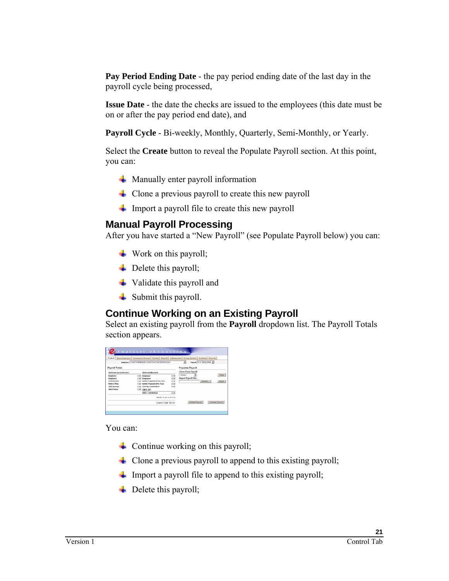**Pay Period Ending Date** - the pay period ending date of the last day in the payroll cycle being processed,

**Issue Date** - the date the checks are issued to the employees (this date must be on or after the pay period end date), and

**Payroll Cycle** - Bi-weekly, Monthly, Quarterly, Semi-Monthly, or Yearly.

Select the **Create** button to reveal the Populate Payroll section. At this point, you can:

- $\overline{\phantom{a}}$  Manually enter payroll information
- $\overline{\phantom{a}}$  Clone a previous payroll to create this new payroll
- $\overline{\phantom{a}}$  Import a payroll file to create this new payroll

### **Manual Payroll Processing**

After you have started a "New Payroll" (see Populate Payroll below) you can:

- Work on this payroll;
- $\leftarrow$  Delete this payroll;
- $\ddot{\bullet}$  Validate this payroll and
- **↓** Submit this payroll.

### **Continue Working on an Existing Payroll**

Select an existing payroll from the **Payroll** dropdown list. The Payroll Totals section appears.

|                                                                                                                       |                                               | Centrel   New Engleyee   Pensonnel Change   Events   Payroll   Adjoinsson   Keeny Update   Sanking   Reports                   |                                     |                                              |                |                              |                  |
|-----------------------------------------------------------------------------------------------------------------------|-----------------------------------------------|--------------------------------------------------------------------------------------------------------------------------------|-------------------------------------|----------------------------------------------|----------------|------------------------------|------------------|
|                                                                                                                       |                                               | Employees 116-P-FAIRBANKS NORTH STAR BOROUGH                                                                                   |                                     | $\overline{\phantom{a}}$                     |                | Paynett 5: 5: 05/02/2006 [#] |                  |
| Payroll Totals                                                                                                        |                                               |                                                                                                                                |                                     | Populate Payroll                             |                |                              |                  |
| Defined Contribution                                                                                                  |                                               | <b>Defined Benefit</b>                                                                                                         |                                     | <b>Close From Pageatt</b>                    |                |                              |                  |
| Entertainment<br>Employee:<br><b>1916 Account</b><br><b>Retires Plant</b><br><b>CCO Assistant</b><br><b>AALFestac</b> | 0.00<br>0.00<br>0.06<br>0.00<br>0.001<br>0.00 | Eugènes:<br>Ensployee:<br>Indebt, Payment (Post-Text)<br>Indobt, Payment (Pre-Tax);<br><b>Vol Sup Contribution:</b><br>DB & DC | 0.06<br>000<br>0.00<br>0.00<br>0.00 | <b><i>SECRET</i></b><br>Import Payroll File: | ≖              | Browse                       | Olone<br>Import  |
| a an an                                                                                                               |                                               | DENIL Contributions                                                                                                            | 0.00                                |                                              |                |                              |                  |
|                                                                                                                       |                                               | <b>DB DC Subtutut: 0.00</b>                                                                                                    |                                     |                                              |                |                              |                  |
|                                                                                                                       |                                               | Grand Total \$0.00                                                                                                             |                                     |                                              | Delete Payroll |                              | Validate Paykoll |

You can:

- $\triangle$  Continue working on this payroll;
- $\triangleq$  Clone a previous payroll to append to this existing payroll;
- $\ddot{\text{I}}$  Import a payroll file to append to this existing payroll;
- $\leftarrow$  Delete this payroll;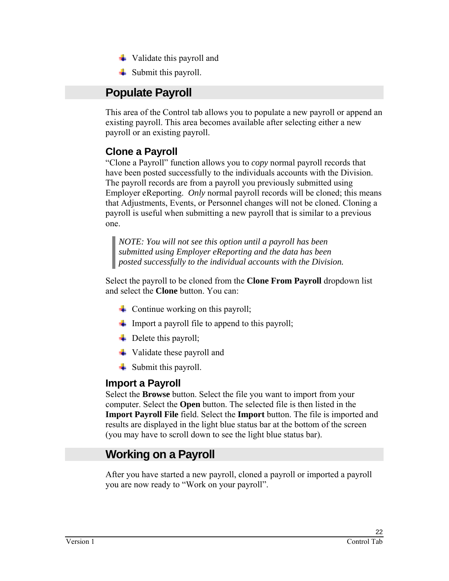- $\ddot{\bullet}$  Validate this payroll and
- $\overline{\phantom{a}}$  Submit this payroll.

## **Populate Payroll**

This area of the Control tab allows you to populate a new payroll or append an existing payroll. This area becomes available after selecting either a new payroll or an existing payroll.

## **Clone a Payroll**

"Clone a Payroll" function allows you to *copy* normal payroll records that have been posted successfully to the individuals accounts with the Division. The payroll records are from a payroll you previously submitted using Employer eReporting. *Only* normal payroll records will be cloned; this means that Adjustments, Events, or Personnel changes will not be cloned. Cloning a payroll is useful when submitting a new payroll that is similar to a previous one.

*NOTE: You will not see this option until a payroll has been submitted using Employer eReporting and the data has been posted successfully to the individual accounts with the Division.* 

Select the payroll to be cloned from the **Clone From Payroll** dropdown list and select the **Clone** button. You can:

- $\triangleq$  Continue working on this payroll;
- $\blacksquare$  Import a payroll file to append to this payroll;
- $\div$  Delete this payroll;
- **↓** Validate these payroll and
- $\overline{\phantom{a}}$  Submit this payroll.

### **Import a Payroll**

Select the **Browse** button. Select the file you want to import from your computer. Select the **Open** button. The selected file is then listed in the **Import Payroll File** field. Select the **Import** button. The file is imported and results are displayed in the light blue status bar at the bottom of the screen (you may have to scroll down to see the light blue status bar).

## **Working on a Payroll**

After you have started a new payroll, cloned a payroll or imported a payroll you are now ready to "Work on your payroll".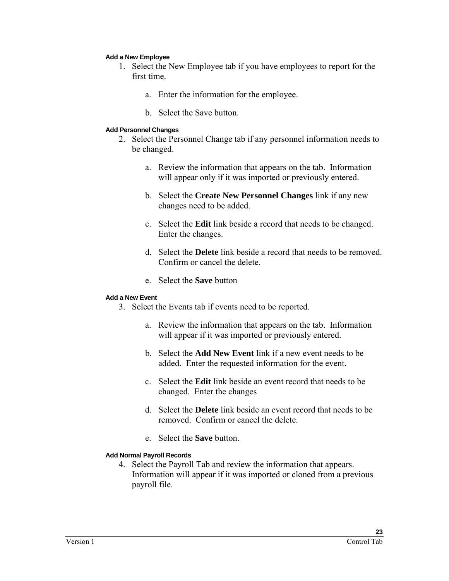#### **Add a New Employee**

- 1. Select the New Employee tab if you have employees to report for the first time.
	- a. Enter the information for the employee.
	- b. Select the Save button.

#### **Add Personnel Changes**

- 2. Select the Personnel Change tab if any personnel information needs to be changed.
	- a. Review the information that appears on the tab. Information will appear only if it was imported or previously entered.
	- b. Select the **Create New Personnel Changes** link if any new changes need to be added.
	- c. Select the **Edit** link beside a record that needs to be changed. Enter the changes.
	- d. Select the **Delete** link beside a record that needs to be removed. Confirm or cancel the delete.
	- e. Select the **Save** button

#### **Add a New Event**

- 3. Select the Events tab if events need to be reported.
	- a. Review the information that appears on the tab. Information will appear if it was imported or previously entered.
	- b. Select the **Add New Event** link if a new event needs to be added. Enter the requested information for the event.
	- c. Select the **Edit** link beside an event record that needs to be changed. Enter the changes
	- d. Select the **Delete** link beside an event record that needs to be removed. Confirm or cancel the delete.
	- e. Select the **Save** button.

#### **Add Normal Payroll Records**

4. Select the Payroll Tab and review the information that appears. Information will appear if it was imported or cloned from a previous payroll file.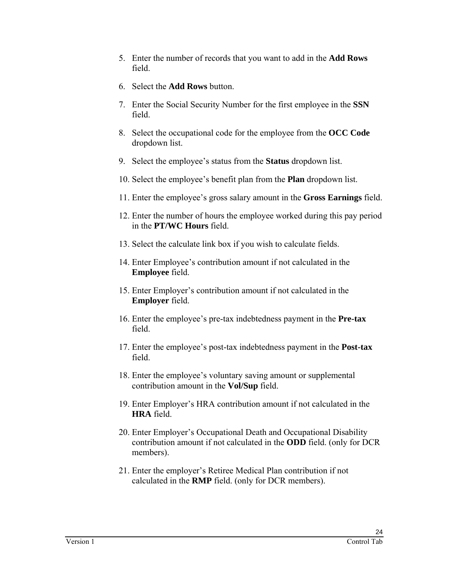- 5. Enter the number of records that you want to add in the **Add Rows** field.
- 6. Select the **Add Rows** button.
- 7. Enter the Social Security Number for the first employee in the **SSN** field.
- 8. Select the occupational code for the employee from the **OCC Code** dropdown list.
- 9. Select the employee's status from the **Status** dropdown list.
- 10. Select the employee's benefit plan from the **Plan** dropdown list.
- 11. Enter the employee's gross salary amount in the **Gross Earnings** field.
- 12. Enter the number of hours the employee worked during this pay period in the **PT/WC Hours** field.
- 13. Select the calculate link box if you wish to calculate fields.
- 14. Enter Employee's contribution amount if not calculated in the **Employee** field.
- 15. Enter Employer's contribution amount if not calculated in the **Employer** field.
- 16. Enter the employee's pre-tax indebtedness payment in the **Pre-tax** field.
- 17. Enter the employee's post-tax indebtedness payment in the **Post-tax** field.
- 18. Enter the employee's voluntary saving amount or supplemental contribution amount in the **Vol/Sup** field.
- 19. Enter Employer's HRA contribution amount if not calculated in the **HRA** field.
- 20. Enter Employer's Occupational Death and Occupational Disability contribution amount if not calculated in the **ODD** field. (only for DCR members).
- 21. Enter the employer's Retiree Medical Plan contribution if not calculated in the **RMP** field. (only for DCR members).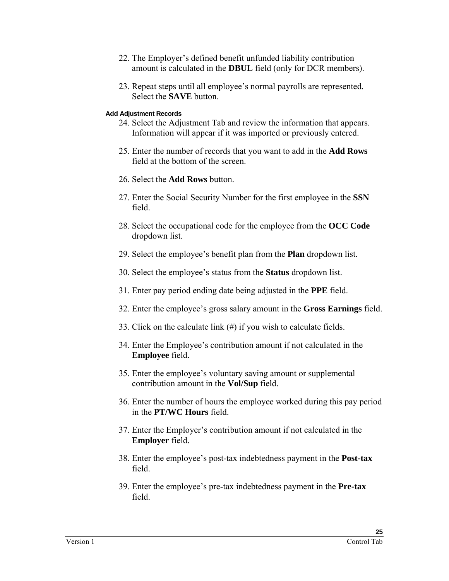- 22. The Employer's defined benefit unfunded liability contribution amount is calculated in the **DBUL** field (only for DCR members).
- 23. Repeat steps until all employee's normal payrolls are represented. Select the **SAVE** button.

#### **Add Adjustment Records**

- 24. Select the Adjustment Tab and review the information that appears. Information will appear if it was imported or previously entered.
- 25. Enter the number of records that you want to add in the **Add Rows** field at the bottom of the screen.
- 26. Select the **Add Rows** button.
- 27. Enter the Social Security Number for the first employee in the **SSN** field.
- 28. Select the occupational code for the employee from the **OCC Code** dropdown list.
- 29. Select the employee's benefit plan from the **Plan** dropdown list.
- 30. Select the employee's status from the **Status** dropdown list.
- 31. Enter pay period ending date being adjusted in the **PPE** field.
- 32. Enter the employee's gross salary amount in the **Gross Earnings** field.
- 33. Click on the calculate link (#) if you wish to calculate fields.
- 34. Enter the Employee's contribution amount if not calculated in the **Employee** field.
- 35. Enter the employee's voluntary saving amount or supplemental contribution amount in the **Vol/Sup** field.
- 36. Enter the number of hours the employee worked during this pay period in the **PT/WC Hours** field.
- 37. Enter the Employer's contribution amount if not calculated in the **Employer** field.
- 38. Enter the employee's post-tax indebtedness payment in the **Post-tax** field.
- 39. Enter the employee's pre-tax indebtedness payment in the **Pre-tax** field.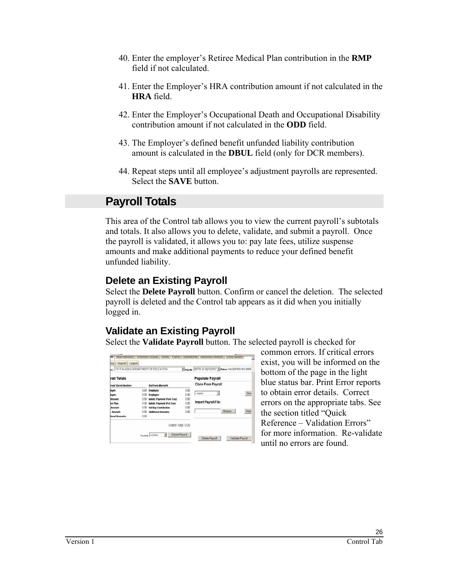- 40. Enter the employer's Retiree Medical Plan contribution in the **RMP**  field if not calculated.
- 41. Enter the Employer's HRA contribution amount if not calculated in the **HRA** field.
- 42. Enter the Employer's Occupational Death and Occupational Disability contribution amount if not calculated in the **ODD** field.
- 43. The Employer's defined benefit unfunded liability contribution amount is calculated in the **DBUL** field (only for DCR members).
- 44. Repeat steps until all employee's adjustment payrolls are represented. Select the **SAVE** button.

## **Payroll Totals**

This area of the Control tab allows you to view the current payroll's subtotals and totals. It also allows you to delete, validate, and submit a payroll. Once the payroll is validated, it allows you to: pay late fees, utilize suspense amounts and make additional payments to reduce your defined benefit unfunded liability.

### **Delete an Existing Payroll**

Select the **Delete Payroll** button. Confirm or cancel the deletion. The selected payroll is deleted and the Control tab appears as it did when you initially logged in.

## **Validate an Existing Payroll**

Select the **Validate Payroll** button. The selected payroll is checked for

| roll Totals<br>ned Contribution<br>0.00<br>loyer:<br>0.00.<br>loyee:<br>0.00<br>Arnount:  | <b>Defined Benefit</b><br>Employer:                                                                                                         | 0.00                                 | <b>Populate Payroll</b><br>Clone From Payroll: |         |              |
|-------------------------------------------------------------------------------------------|---------------------------------------------------------------------------------------------------------------------------------------------|--------------------------------------|------------------------------------------------|---------|--------------|
|                                                                                           |                                                                                                                                             |                                      |                                                |         |              |
|                                                                                           |                                                                                                                                             |                                      |                                                |         |              |
| 0.00<br>ee Plan:<br>0.00<br><b>Arnount:</b><br>0.00<br>Amount:<br>0.00<br>tional Amounts: | <b>Employee:</b><br>Indebt, Payment (Post-Tax):<br>Indebt, Payment (Pre-Tax);<br><b>Vol/Sup Contribution:</b><br><b>Additional Amounts:</b> | 0.00<br>0.00<br>0.00<br>0.00<br>0.00 | $-$ none-<br>Import Payroll File:              | Browse. | Clon<br>Impo |

common errors. If critical errors exist, you will be informed on the bottom of the page in the light blue status bar. Print Error reports to obtain error details. Correct errors on the appropriate tabs. See the section titled "Quick Reference – Validation Errors" for more information. Re-validate until no errors are found.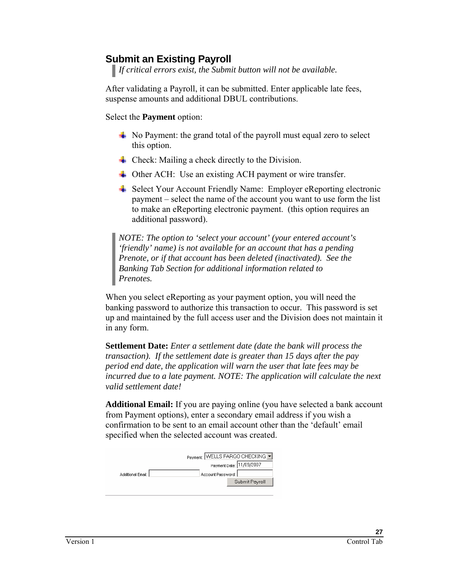### **Submit an Existing Payroll**

*If critical errors exist, the Submit button will not be available.* 

After validating a Payroll, it can be submitted. Enter applicable late fees, suspense amounts and additional DBUL contributions.

Select the **Payment** option:

- $\overline{\phantom{a}}$  No Payment: the grand total of the payroll must equal zero to select this option.
- $\triangleq$  Check: Mailing a check directly to the Division.
- **E** Other ACH: Use an existing ACH payment or wire transfer.
- **→ Select Your Account Friendly Name: Employer eReporting electronic** payment – select the name of the account you want to use form the list to make an eReporting electronic payment. (this option requires an additional password).

*NOTE: The option to 'select your account' (your entered account's 'friendly' name) is not available for an account that has a pending Prenote, or if that account has been deleted (inactivated). See the Banking Tab Section for additional information related to Prenotes.* 

When you select eReporting as your payment option, you will need the banking password to authorize this transaction to occur. This password is set up and maintained by the full access user and the Division does not maintain it in any form.

**Settlement Date:** *Enter a settlement date (date the bank will process the transaction). If the settlement date is greater than 15 days after the pay period end date, the application will warn the user that late fees may be incurred due to a late payment. NOTE: The application will calculate the next valid settlement date!* 

**Additional Email:** If you are paying online (you have selected a bank account from Payment options), enter a secondary email address if you wish a confirmation to be sent to an email account other than the 'default' email specified when the selected account was created.

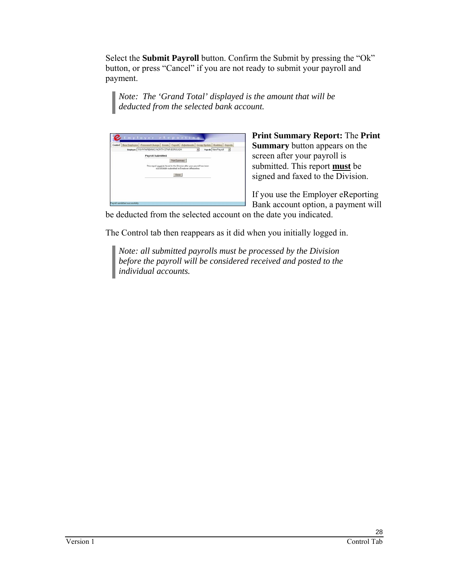Select the **Submit Payroll** button. Confirm the Submit by pressing the "Ok" button, or press "Cancel" if you are not ready to submit your payroll and payment.

*Note: The 'Grand Total' displayed is the amount that will be deducted from the selected bank account.* 

| Paynett: New Paynoll<br>Employer: 116-P-FAFISANICS NORTH STAR BOROUGH<br>$\cdot$<br>×                                  |
|------------------------------------------------------------------------------------------------------------------------|
| Payroll Submitted                                                                                                      |
| Print Symmery                                                                                                          |
| This report must be faxed to the Division after your payroll has been<br>successfully submitted in Employer eReporting |
| Close                                                                                                                  |
|                                                                                                                        |
|                                                                                                                        |
|                                                                                                                        |

**Print Summary Report:** The **Print Summary** button appears on the screen after your payroll is submitted. This report **must** be signed and faxed to the Division.

If you use the Employer eReporting Bank account option, a payment will

be deducted from the selected account on the date you indicated.

The Control tab then reappears as it did when you initially logged in.

*Note: all submitted payrolls must be processed by the Division before the payroll will be considered received and posted to the individual accounts.*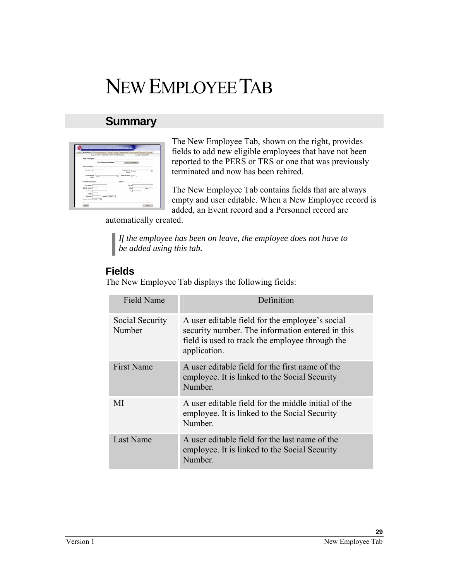# NEW EMPLOYEE TAB

## **Summary**

|                                       | [1001] Rea Engineers   Possessed (Surges)   Postell   Popular   Adamsum   Alexandra   Postella   Popular |                                |                                         |                            |
|---------------------------------------|----------------------------------------------------------------------------------------------------------|--------------------------------|-----------------------------------------|----------------------------|
|                                       | <b>Number 116 F-F HARDAGET HERTH STAR BOROCKIN</b>                                                       |                                |                                         | <b>Have 5 3 (6/2/2008)</b> |
| <b>New Employee</b>                   |                                                                                                          |                                |                                         |                            |
|                                       | <b>Bental Security Number:</b>                                                                           |                                | Link Up transmiss?                      |                            |
| <b>Was Industrialize</b>              |                                                                                                          |                                |                                         |                            |
| <b>Education State</b>                |                                                                                                          |                                |                                         |                            |
|                                       |                                                                                                          |                                | <b>Hake</b> Trend                       |                            |
| <b>Inspired Copy</b><br><b>Global</b> |                                                                                                          | <b>Senior Level (Contract)</b> |                                         |                            |
|                                       |                                                                                                          |                                |                                         |                            |
| <b>Parental Information</b>           |                                                                                                          | Antone                         |                                         |                            |
| First Name:                           |                                                                                                          |                                | <b>Glass Rd</b>                         |                            |
| Middle bottom                         |                                                                                                          |                                | ON                                      | <b>State I</b>             |
| Los Name:                             |                                                                                                          |                                | $\mathcal{D}_{\overline{\mathbb{P}}^2}$ |                            |
| <b>Subject</b>                        |                                                                                                          |                                |                                         |                            |
|                                       |                                                                                                          |                                |                                         |                            |

The New Employee Tab, shown on the right, provides fields to add new eligible employees that have not been reported to the PERS or TRS or one that was previously terminated and now has been rehired.

The New Employee Tab contains fields that are always empty and user editable. When a New Employee record is added, an Event record and a Personnel record are

automatically created.

*If the employee has been on leave, the employee does not have to be added using this tab.* 

## **Fields**

The New Employee Tab displays the following fields:

| <b>Field Name</b>         | Definition                                                                                                                                                             |
|---------------------------|------------------------------------------------------------------------------------------------------------------------------------------------------------------------|
| Social Security<br>Number | A user editable field for the employee's social<br>security number. The information entered in this<br>field is used to track the employee through the<br>application. |
| <b>First Name</b>         | A user editable field for the first name of the<br>employee. It is linked to the Social Security<br>Number.                                                            |
| MI                        | A user editable field for the middle initial of the<br>employee. It is linked to the Social Security<br>Number.                                                        |
| Last Name                 | A user editable field for the last name of the<br>employee. It is linked to the Social Security<br>Number.                                                             |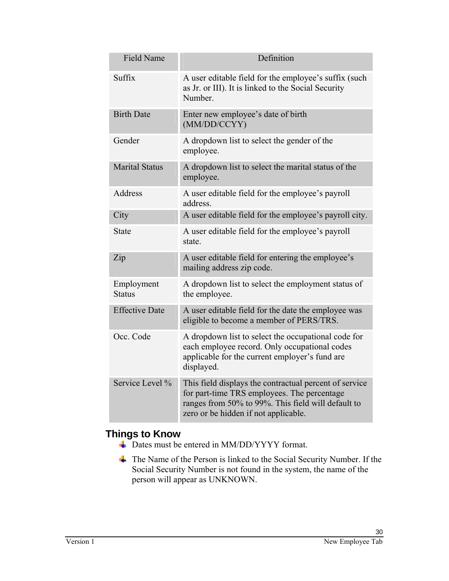| <b>Field Name</b>           | Definition                                                                                                                                                                                          |
|-----------------------------|-----------------------------------------------------------------------------------------------------------------------------------------------------------------------------------------------------|
| Suffix                      | A user editable field for the employee's suffix (such<br>as Jr. or III). It is linked to the Social Security<br>Number.                                                                             |
| <b>Birth Date</b>           | Enter new employee's date of birth<br>(MM/DD/CCYY)                                                                                                                                                  |
| Gender                      | A dropdown list to select the gender of the<br>employee.                                                                                                                                            |
| <b>Marital Status</b>       | A dropdown list to select the marital status of the<br>employee.                                                                                                                                    |
| <b>Address</b>              | A user editable field for the employee's payroll<br>address.                                                                                                                                        |
| City                        | A user editable field for the employee's payroll city.                                                                                                                                              |
| <b>State</b>                | A user editable field for the employee's payroll<br>state.                                                                                                                                          |
| Zip                         | A user editable field for entering the employee's<br>mailing address zip code.                                                                                                                      |
| Employment<br><b>Status</b> | A dropdown list to select the employment status of<br>the employee.                                                                                                                                 |
| <b>Effective Date</b>       | A user editable field for the date the employee was<br>eligible to become a member of PERS/TRS.                                                                                                     |
| Occ. Code                   | A dropdown list to select the occupational code for<br>each employee record. Only occupational codes<br>applicable for the current employer's fund are<br>displayed.                                |
| Service Level %             | This field displays the contractual percent of service<br>for part-time TRS employees. The percentage<br>ranges from 50% to 99%. This field will default to<br>zero or be hidden if not applicable. |

### **Things to Know**

- $\overline{\phantom{A}}$  Dates must be entered in MM/DD/YYYY format.
- $\div$  The Name of the Person is linked to the Social Security Number. If the Social Security Number is not found in the system, the name of the person will appear as UNKNOWN.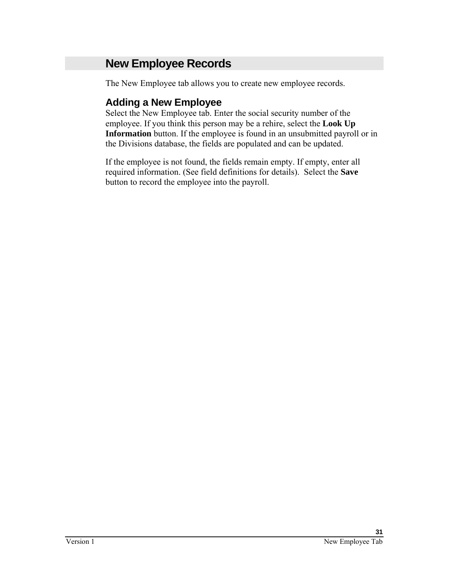## **New Employee Records**

The New Employee tab allows you to create new employee records.

## **Adding a New Employee**

Select the New Employee tab. Enter the social security number of the employee. If you think this person may be a rehire, select the **Look Up Information** button. If the employee is found in an unsubmitted payroll or in the Divisions database, the fields are populated and can be updated.

If the employee is not found, the fields remain empty. If empty, enter all required information. (See field definitions for details). Select the **Save** button to record the employee into the payroll.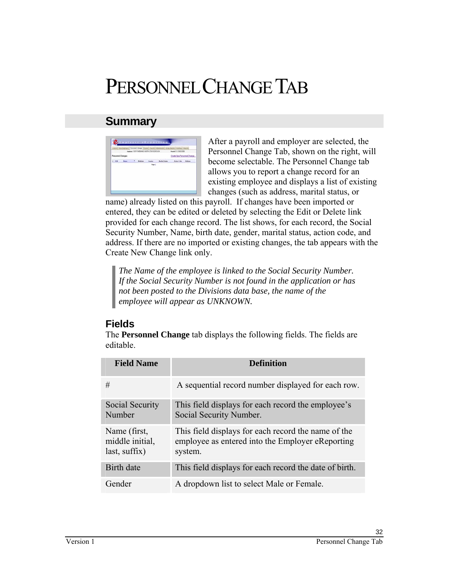# PERSONNEL CHANGE TAB

## **Summary**

|        |                          |          | Comit) Ros Englisher Personnel Change [ Front   Franch] At<br>Ingham 15-P FAIRWAS NOTH STAE BOROCOV |                      | Forum 6 11 INVOCENTS        |  |
|--------|--------------------------|----------|-----------------------------------------------------------------------------------------------------|----------------------|-----------------------------|--|
|        | <b>Personnel Changes</b> |          |                                                                                                     |                      | Create New Personnel Change |  |
| $-558$ | <b>Rams</b>              | * Bobber |                                                                                                     | <b>Market States</b> | Adviced Moss                |  |
|        |                          |          |                                                                                                     |                      |                             |  |
|        |                          |          |                                                                                                     |                      |                             |  |
|        |                          |          |                                                                                                     |                      |                             |  |

After a payroll and employer are selected, the Personnel Change Tab, shown on the right, will become selectable. The Personnel Change tab allows you to report a change record for an existing employee and displays a list of existing changes (such as address, marital status, or

name) already listed on this payroll. If changes have been imported or entered, they can be edited or deleted by selecting the Edit or Delete link provided for each change record. The list shows, for each record, the Social Security Number, Name, birth date, gender, marital status, action code, and address. If there are no imported or existing changes, the tab appears with the Create New Change link only.

*The Name of the employee is linked to the Social Security Number. If the Social Security Number is not found in the application or has not been posted to the Divisions data base, the name of the employee will appear as UNKNOWN.* 

## **Fields**

The **Personnel Change** tab displays the following fields. The fields are editable.

| <b>Field Name</b>                                | <b>Definition</b>                                                                                                  |
|--------------------------------------------------|--------------------------------------------------------------------------------------------------------------------|
| #                                                | A sequential record number displayed for each row.                                                                 |
| Social Security<br>Number                        | This field displays for each record the employee's<br>Social Security Number.                                      |
| Name (first,<br>middle initial,<br>last, suffix) | This field displays for each record the name of the<br>employee as entered into the Employer eReporting<br>system. |
| Birth date                                       | This field displays for each record the date of birth.                                                             |
| Gender                                           | A dropdown list to select Male or Female.                                                                          |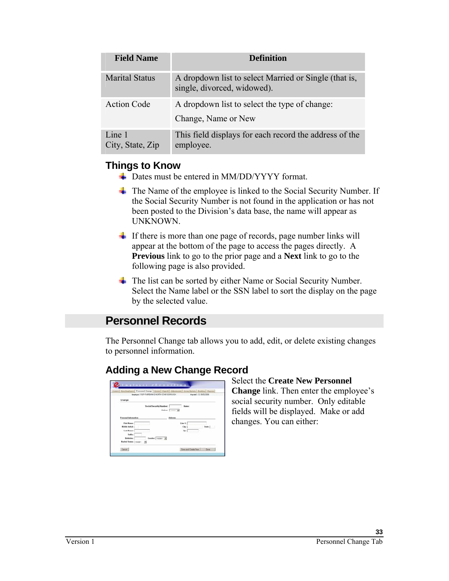| <b>Field Name</b>          | <b>Definition</b>                                                                    |
|----------------------------|--------------------------------------------------------------------------------------|
| <b>Marital Status</b>      | A dropdown list to select Married or Single (that is,<br>single, divorced, widowed). |
| <b>Action Code</b>         | A dropdown list to select the type of change:<br>Change, Name or New                 |
| Line 1<br>City, State, Zip | This field displays for each record the address of the<br>employee.                  |

### **Things to Know**

- $\div$  Dates must be entered in MM/DD/YYYY format.
- $\overline{\phantom{a}}$  The Name of the employee is linked to the Social Security Number. If the Social Security Number is not found in the application or has not been posted to the Division's data base, the name will appear as UNKNOWN.
- $\overline{\phantom{a}}$  If there is more than one page of records, page number links will appear at the bottom of the page to access the pages directly. A **Previous** link to go to the prior page and a **Next** link to go to the following page is also provided.
- The list can be sorted by either Name or Social Security Number. Select the Name label or the SSN label to sort the display on the page by the selected value.

## **Personnel Records**

The Personnel Change tab allows you to add, edit, or delete existing changes to personnel information.

## **Adding a New Change Record**

|                         | Employee: 116 P-FASEBANKS, NORTH STAR BOROUGH | [astest] New Englegen Personnel Change   Events   Payroll   Adjournants   Georg Hydate   Bunking   Reports  <br>Page 4: 5: 05/02/2006 |          |
|-------------------------|-----------------------------------------------|---------------------------------------------------------------------------------------------------------------------------------------|----------|
| Change                  |                                               |                                                                                                                                       |          |
|                         | Social Security Number:                       | Name:                                                                                                                                 |          |
|                         |                                               | Artist: (money W)                                                                                                                     |          |
| Personal Information    |                                               | Address                                                                                                                               |          |
| First Name:             |                                               | Line 1:                                                                                                                               |          |
| Middle bottlet:         |                                               | City:                                                                                                                                 | State: I |
| Last Name:              |                                               | Zipp                                                                                                                                  |          |
| Safford                 |                                               |                                                                                                                                       |          |
| <b>Birthdate:</b>       | Gender: Trong - 1                             |                                                                                                                                       |          |
| Markal States: 192461 3 |                                               |                                                                                                                                       |          |

#### Select the **Create New Personnel Change** link. Then enter the employee's social security number. Only editable fields will be displayed. Make or add changes. You can either: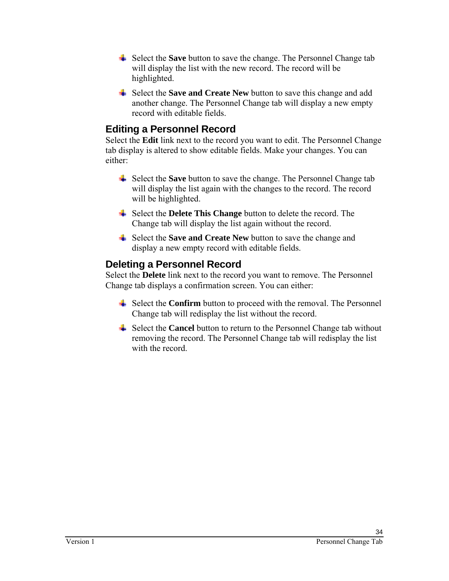- Select the **Save** button to save the change. The Personnel Change tab will display the list with the new record. The record will be highlighted.
- Select the **Save and Create New** button to save this change and add another change. The Personnel Change tab will display a new empty record with editable fields.

## **Editing a Personnel Record**

Select the **Edit** link next to the record you want to edit. The Personnel Change tab display is altered to show editable fields. Make your changes. You can either:

- Select the **Save** button to save the change. The Personnel Change tab will display the list again with the changes to the record. The record will be highlighted.
- Select the **Delete This Change** button to delete the record. The Change tab will display the list again without the record.
- Select the **Save and Create New** button to save the change and display a new empty record with editable fields.

### **Deleting a Personnel Record**

Select the **Delete** link next to the record you want to remove. The Personnel Change tab displays a confirmation screen. You can either:

- $\frac{1}{\sqrt{2}}$  Select the **Confirm** button to proceed with the removal. The Personnel Change tab will redisplay the list without the record.
- $\frac{1}{\sqrt{1}}$  Select the **Cancel** button to return to the Personnel Change tab without removing the record. The Personnel Change tab will redisplay the list with the record.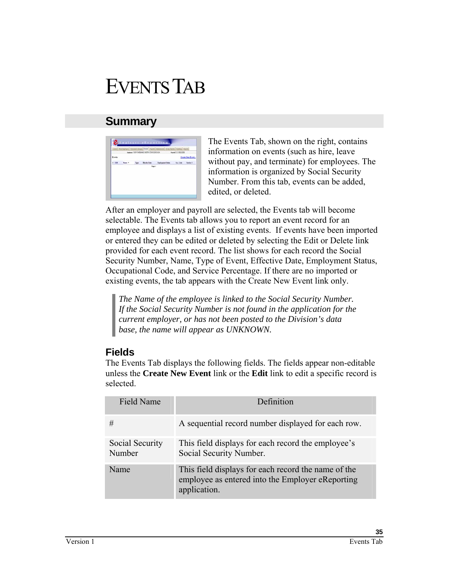# EVENTS TAB

## **Summary**



The Events Tab, shown on the right, contains information on events (such as hire, leave without pay, and terminate) for employees. The information is organized by Social Security Number. From this tab, events can be added, edited, or deleted.

After an employer and payroll are selected, the Events tab will become selectable. The Events tab allows you to report an event record for an employee and displays a list of existing events. If events have been imported or entered they can be edited or deleted by selecting the Edit or Delete link provided for each event record. The list shows for each record the Social Security Number, Name, Type of Event, Effective Date, Employment Status, Occupational Code, and Service Percentage. If there are no imported or existing events, the tab appears with the Create New Event link only.

*The Name of the employee is linked to the Social Security Number. If the Social Security Number is not found in the application for the current employer, or has not been posted to the Division's data base, the name will appear as UNKNOWN.* 

## **Fields**

The Events Tab displays the following fields. The fields appear non-editable unless the **Create New Event** link or the **Edit** link to edit a specific record is selected.

| Field Name                | Definition                                                                                                              |
|---------------------------|-------------------------------------------------------------------------------------------------------------------------|
| #                         | A sequential record number displayed for each row.                                                                      |
| Social Security<br>Number | This field displays for each record the employee's<br>Social Security Number.                                           |
| Name                      | This field displays for each record the name of the<br>employee as entered into the Employer eReporting<br>application. |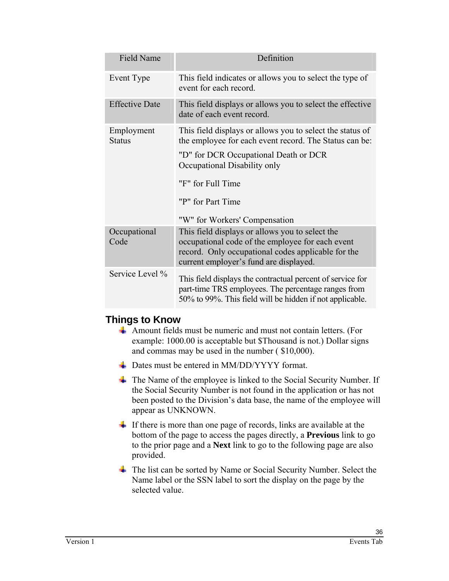| <b>Field Name</b>           | Definition                                                                                                                                                                                          |
|-----------------------------|-----------------------------------------------------------------------------------------------------------------------------------------------------------------------------------------------------|
| Event Type                  | This field indicates or allows you to select the type of<br>event for each record.                                                                                                                  |
| <b>Effective Date</b>       | This field displays or allows you to select the effective<br>date of each event record.                                                                                                             |
| Employment<br><b>Status</b> | This field displays or allows you to select the status of<br>the employee for each event record. The Status can be:                                                                                 |
|                             | "D" for DCR Occupational Death or DCR<br>Occupational Disability only                                                                                                                               |
|                             | "F" for Full Time                                                                                                                                                                                   |
|                             | "P" for Part Time                                                                                                                                                                                   |
|                             | "W" for Workers' Compensation                                                                                                                                                                       |
| Occupational<br>Code        | This field displays or allows you to select the<br>occupational code of the employee for each event<br>record. Only occupational codes applicable for the<br>current employer's fund are displayed. |
| Service Level %             | This field displays the contractual percent of service for<br>part-time TRS employees. The percentage ranges from<br>50% to 99%. This field will be hidden if not applicable.                       |

### **Things to Know**

- Amount fields must be numeric and must not contain letters. (For example: 1000.00 is acceptable but \$Thousand is not.) Dollar signs and commas may be used in the number ( \$10,000).
- Dates must be entered in MM/DD/YYYY format.
- $\overline{\text{I}}$  The Name of the employee is linked to the Social Security Number. If the Social Security Number is not found in the application or has not been posted to the Division's data base, the name of the employee will appear as UNKNOWN.
- $\overline{\phantom{a}}$  If there is more than one page of records, links are available at the bottom of the page to access the pages directly, a **Previous** link to go to the prior page and a **Next** link to go to the following page are also provided.
- The list can be sorted by Name or Social Security Number. Select the Name label or the SSN label to sort the display on the page by the selected value.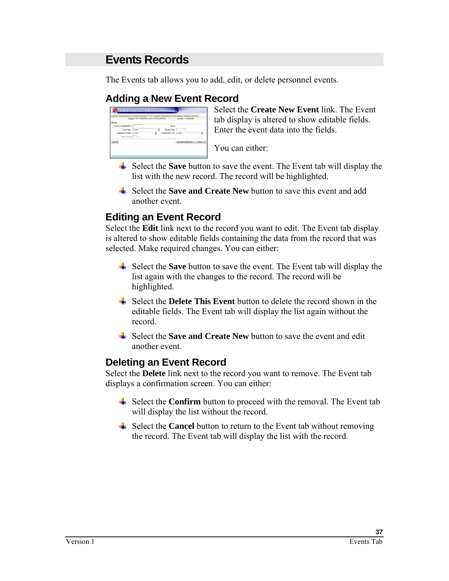## **Events Records**

The Events tab allows you to add, edit, or delete personnel events.

### **Adding a New Event Record**

| Event                          |   |                                                   |                         |   |
|--------------------------------|---|---------------------------------------------------|-------------------------|---|
| <b>Secial Security Number:</b> |   | Name:                                             |                         |   |
| Event Type: [ -- page -        |   | <b>Efective Date:</b>                             |                         |   |
| Engineer State: [ more         | × | Occupational Code: [ recog-<br>FARSTEN TELEVISION |                         | э |
| Smidseleet   N                 |   |                                                   |                         |   |
| Centel ]                       |   |                                                   | Development (1994) Seve |   |

Select the **Create New Event** link. The Event tab display is altered to show editable fields. Enter the event data into the fields.

You can either:

- $\frac{1}{\sqrt{2}}$  Select the **Save** button to save the event. The Event tab will display the list with the new record. The record will be highlighted.
- Select the **Save and Create New** button to save this event and add another event.

### **Editing an Event Record**

Select the **Edit** link next to the record you want to edit. The Event tab display is altered to show editable fields containing the data from the record that was selected. Make required changes. You can either:

- Select the **Save** button to save the event. The Event tab will display the list again with the changes to the record. The record will be highlighted.
- $\triangleq$  Select the **Delete This Event** button to delete the record shown in the editable fields. The Event tab will display the list again without the record.
- Select the **Save and Create New** button to save the event and edit another event.

### **Deleting an Event Record**

Select the **Delete** link next to the record you want to remove. The Event tab displays a confirmation screen. You can either:

- Select the **Confirm** button to proceed with the removal. The Event tab will display the list without the record.
- $\triangleq$  Select the **Cancel** button to return to the Event tab without removing the record. The Event tab will display the list with the record.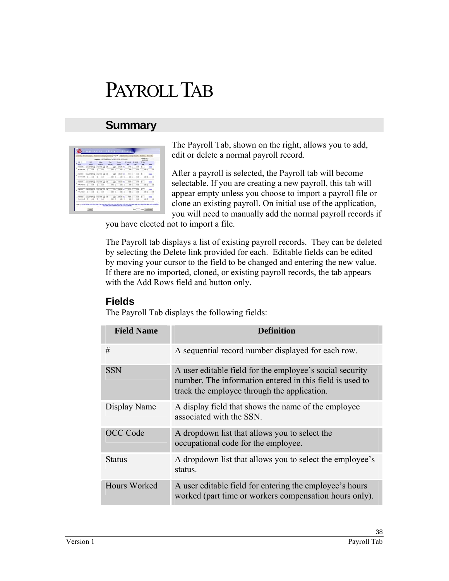# PAYROLL TAB

## **Summary**



The Payroll Tab, shown on the right, allows you to add, edit or delete a normal payroll record.

After a payroll is selected, the Payroll tab will become selectable. If you are creating a new payroll, this tab will appear empty unless you choose to import a payroll file or clone an existing payroll. On initial use of the application, you will need to manually add the normal payroll records if

you have elected not to import a file.

The Payroll tab displays a list of existing payroll records. They can be deleted by selecting the Delete link provided for each. Editable fields can be edited by moving your cursor to the field to be changed and entering the new value. If there are no imported, cloned, or existing payroll records, the tab appears with the Add Rows field and button only.

### **Fields**

The Payroll Tab displays the following fields:

| <b>Field Name</b> | <b>Definition</b>                                                                                                                                                   |
|-------------------|---------------------------------------------------------------------------------------------------------------------------------------------------------------------|
| #                 | A sequential record number displayed for each row.                                                                                                                  |
| <b>SSN</b>        | A user editable field for the employee's social security<br>number. The information entered in this field is used to<br>track the employee through the application. |
| Display Name      | A display field that shows the name of the employee<br>associated with the SSN.                                                                                     |
| OCC Code          | A dropdown list that allows you to select the<br>occupational code for the employee.                                                                                |
| Status            | A dropdown list that allows you to select the employee's<br>status.                                                                                                 |
| Hours Worked      | A user editable field for entering the employee's hours<br>worked (part time or workers compensation hours only).                                                   |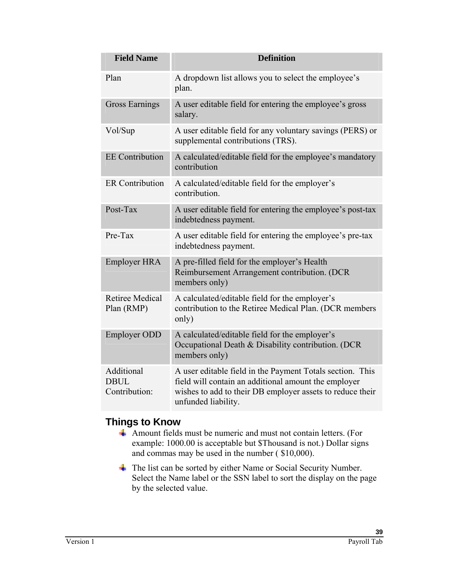| <b>Field Name</b>                          | <b>Definition</b>                                                                                                                                                                                     |
|--------------------------------------------|-------------------------------------------------------------------------------------------------------------------------------------------------------------------------------------------------------|
| Plan                                       | A dropdown list allows you to select the employee's<br>plan.                                                                                                                                          |
| <b>Gross Earnings</b>                      | A user editable field for entering the employee's gross<br>salary.                                                                                                                                    |
| Vol/Sup                                    | A user editable field for any voluntary savings (PERS) or<br>supplemental contributions (TRS).                                                                                                        |
| <b>EE</b> Contribution                     | A calculated/editable field for the employee's mandatory<br>contribution                                                                                                                              |
| <b>ER Contribution</b>                     | A calculated/editable field for the employer's<br>contribution.                                                                                                                                       |
| Post-Tax                                   | A user editable field for entering the employee's post-tax<br>indebtedness payment.                                                                                                                   |
| Pre-Tax                                    | A user editable field for entering the employee's pre-tax<br>indebtedness payment.                                                                                                                    |
| <b>Employer HRA</b>                        | A pre-filled field for the employer's Health<br>Reimbursement Arrangement contribution. (DCR<br>members only)                                                                                         |
| <b>Retiree Medical</b><br>Plan (RMP)       | A calculated/editable field for the employer's<br>contribution to the Retiree Medical Plan. (DCR members<br>only)                                                                                     |
| <b>Employer ODD</b>                        | A calculated/editable field for the employer's<br>Occupational Death & Disability contribution. (DCR<br>members only)                                                                                 |
| Additional<br><b>DBUL</b><br>Contribution: | A user editable field in the Payment Totals section. This<br>field will contain an additional amount the employer<br>wishes to add to their DB employer assets to reduce their<br>unfunded liability. |

## **Things to Know**

- Amount fields must be numeric and must not contain letters. (For example: 1000.00 is acceptable but \$Thousand is not.) Dollar signs and commas may be used in the number ( \$10,000).
- The list can be sorted by either Name or Social Security Number. Select the Name label or the SSN label to sort the display on the page by the selected value.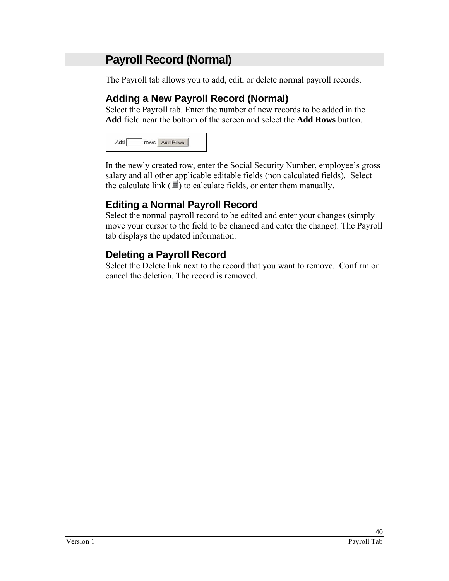## **Payroll Record (Normal)**

The Payroll tab allows you to add, edit, or delete normal payroll records.

## **Adding a New Payroll Record (Normal)**

Select the Payroll tab. Enter the number of new records to be added in the **Add** field near the bottom of the screen and select the **Add Rows** button.

| Add | rows | Add Rows |
|-----|------|----------|
|     |      |          |

In the newly created row, enter the Social Security Number, employee's gross salary and all other applicable editable fields (non calculated fields). Select the calculate link  $(\blacksquare)$  to calculate fields, or enter them manually.

## **Editing a Normal Payroll Record**

Select the normal payroll record to be edited and enter your changes (simply move your cursor to the field to be changed and enter the change). The Payroll tab displays the updated information.

## **Deleting a Payroll Record**

Select the Delete link next to the record that you want to remove. Confirm or cancel the deletion. The record is removed.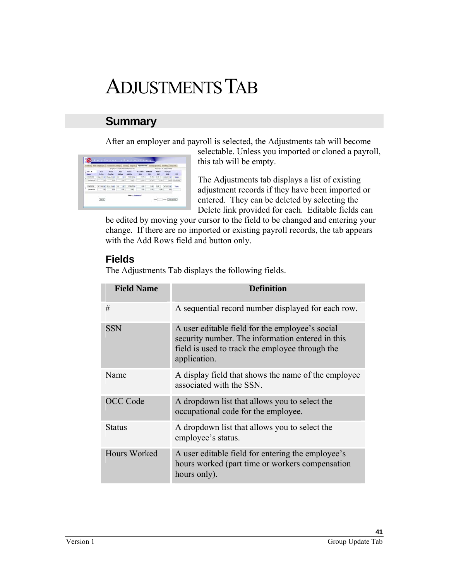# ADJUSTMENTS TAB

## **Summary**

After an employer and payroll is selected, the Adjustments tab will become



selectable. Unless you imported or cloned a payroll, this tab will be empty.

The Adjustments tab displays a list of existing adjustment records if they have been imported or entered. They can be deleted by selecting the Delete link provided for each. Editable fields can

be edited by moving your cursor to the field to be changed and entering your change. If there are no imported or existing payroll records, the tab appears with the Add Rows field and button only.

## **Fields**

The Adjustments Tab displays the following fields.

| <b>Field Name</b> | <b>Definition</b>                                                                                                                                                      |
|-------------------|------------------------------------------------------------------------------------------------------------------------------------------------------------------------|
| #                 | A sequential record number displayed for each row.                                                                                                                     |
| <b>SSN</b>        | A user editable field for the employee's social<br>security number. The information entered in this<br>field is used to track the employee through the<br>application. |
| Name              | A display field that shows the name of the employee<br>associated with the SSN.                                                                                        |
| OCC Code          | A dropdown list that allows you to select the<br>occupational code for the employee.                                                                                   |
| <b>Status</b>     | A dropdown list that allows you to select the<br>employee's status.                                                                                                    |
| Hours Worked      | A user editable field for entering the employee's<br>hours worked (part time or workers compensation<br>hours only).                                                   |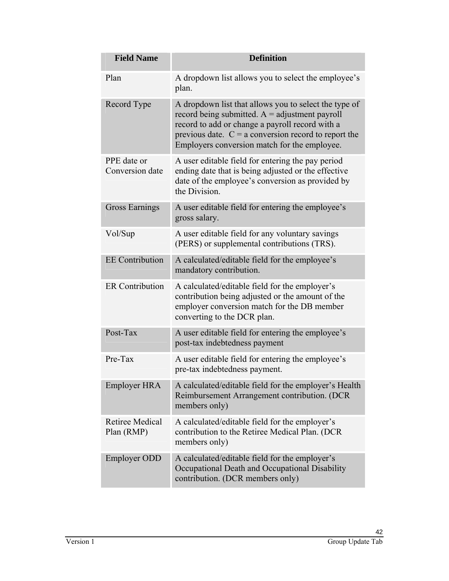| <b>Field Name</b>                    | <b>Definition</b>                                                                                                                                                                                                                                                      |
|--------------------------------------|------------------------------------------------------------------------------------------------------------------------------------------------------------------------------------------------------------------------------------------------------------------------|
| Plan                                 | A dropdown list allows you to select the employee's<br>plan.                                                                                                                                                                                                           |
| Record Type                          | A dropdown list that allows you to select the type of<br>record being submitted. $A =$ adjustment payroll<br>record to add or change a payroll record with a<br>previous date. $C = a$ conversion record to report the<br>Employers conversion match for the employee. |
| PPE date or<br>Conversion date       | A user editable field for entering the pay period<br>ending date that is being adjusted or the effective<br>date of the employee's conversion as provided by<br>the Division.                                                                                          |
| <b>Gross Earnings</b>                | A user editable field for entering the employee's<br>gross salary.                                                                                                                                                                                                     |
| Vol/Sup                              | A user editable field for any voluntary savings<br>(PERS) or supplemental contributions (TRS).                                                                                                                                                                         |
| <b>EE</b> Contribution               | A calculated/editable field for the employee's<br>mandatory contribution.                                                                                                                                                                                              |
| <b>ER Contribution</b>               | A calculated/editable field for the employer's<br>contribution being adjusted or the amount of the<br>employer conversion match for the DB member<br>converting to the DCR plan.                                                                                       |
| Post-Tax                             | A user editable field for entering the employee's<br>post-tax indebtedness payment                                                                                                                                                                                     |
| Pre-Tax                              | A user editable field for entering the employee's<br>pre-tax indebtedness payment.                                                                                                                                                                                     |
| Employer HRA                         | A calculated/editable field for the employer's Health<br>Reimbursement Arrangement contribution. (DCR<br>members only)                                                                                                                                                 |
| <b>Retiree Medical</b><br>Plan (RMP) | A calculated/editable field for the employer's<br>contribution to the Retiree Medical Plan. (DCR<br>members only)                                                                                                                                                      |
| <b>Employer ODD</b>                  | A calculated/editable field for the employer's<br>Occupational Death and Occupational Disability<br>contribution. (DCR members only)                                                                                                                                   |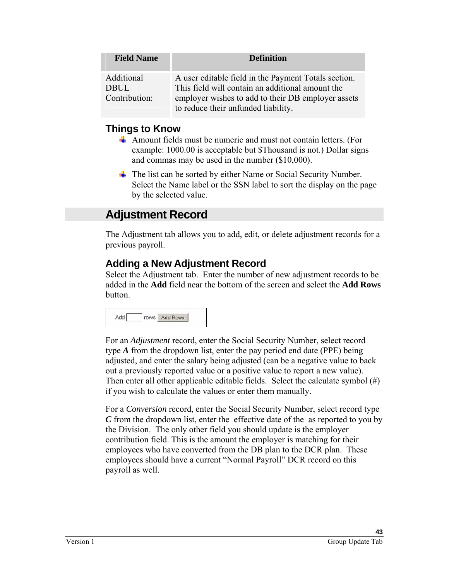| <b>Field Name</b>                          | <b>Definition</b>                                                                                                                                                                                     |
|--------------------------------------------|-------------------------------------------------------------------------------------------------------------------------------------------------------------------------------------------------------|
| Additional<br><b>DBUL</b><br>Contribution: | A user editable field in the Payment Totals section.<br>This field will contain an additional amount the<br>employer wishes to add to their DB employer assets<br>to reduce their unfunded liability. |

#### **Things to Know**

- Amount fields must be numeric and must not contain letters. (For example: 1000.00 is acceptable but \$Thousand is not.) Dollar signs and commas may be used in the number (\$10,000).
- $\overline{\text{I}}$  The list can be sorted by either Name or Social Security Number. Select the Name label or the SSN label to sort the display on the page by the selected value.

## **Adjustment Record**

The Adjustment tab allows you to add, edit, or delete adjustment records for a previous payroll.

### **Adding a New Adjustment Record**

Select the Adjustment tab. Enter the number of new adjustment records to be added in the **Add** field near the bottom of the screen and select the **Add Rows** button.

|  | rows | Add Rows |
|--|------|----------|
|--|------|----------|

For an *Adjustment* record, enter the Social Security Number, select record type *A* from the dropdown list, enter the pay period end date (PPE) being adjusted, and enter the salary being adjusted (can be a negative value to back out a previously reported value or a positive value to report a new value). Then enter all other applicable editable fields. Select the calculate symbol  $(\#)$ if you wish to calculate the values or enter them manually.

For a *Conversion* record, enter the Social Security Number, select record type *C* from the dropdown list, enter the effective date of the as reported to you by the Division. The only other field you should update is the employer contribution field. This is the amount the employer is matching for their employees who have converted from the DB plan to the DCR plan. These employees should have a current "Normal Payroll" DCR record on this payroll as well.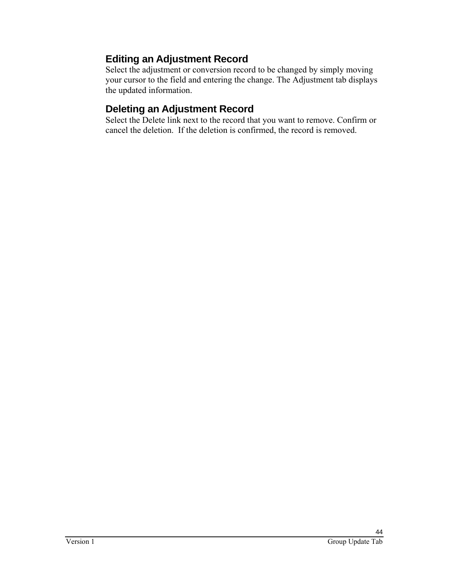## **Editing an Adjustment Record**

Select the adjustment or conversion record to be changed by simply moving your cursor to the field and entering the change. The Adjustment tab displays the updated information.

## **Deleting an Adjustment Record**

Select the Delete link next to the record that you want to remove. Confirm or cancel the deletion. If the deletion is confirmed, the record is removed.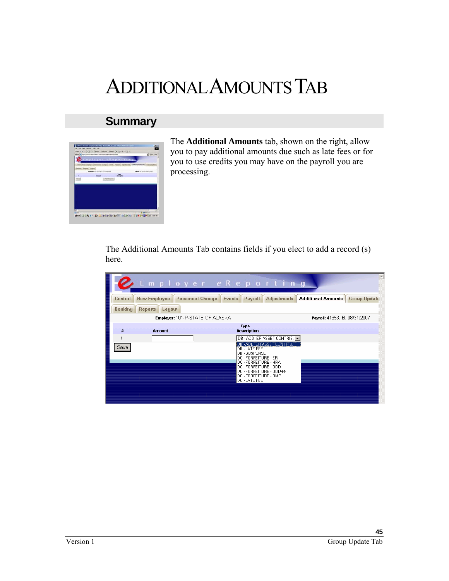# ADDITIONAL AMOUNTS TAB

## **Summary**



The **Additional Amounts** tab, shown on the right, allow you to pay additional amounts due such as late fees or for you to use credits you may have on the payroll you are processing.

The Additional Amounts Tab contains fields if you elect to add a record (s) here.

|                |                                      | $\blacktriangle$<br>Employer eReporting                                                                                                                                                                            |
|----------------|--------------------------------------|--------------------------------------------------------------------------------------------------------------------------------------------------------------------------------------------------------------------|
| Control        | New Employee Personnel Change Events | <b>Additional Amounts   Group Update</b><br><b>Adjustments</b><br>Payroll                                                                                                                                          |
| <b>Banking</b> | <b>Reports</b><br>Logout             |                                                                                                                                                                                                                    |
|                | Employer: 101-P-STATE OF ALASKA      | Payroll: 41353: B: 08/31/2007                                                                                                                                                                                      |
| #              | Amount                               | Type<br><b>Description</b>                                                                                                                                                                                         |
|                |                                      | DB - ADD. ER ASSET CONTRIB. •                                                                                                                                                                                      |
| Save           |                                      | DB - ADD. ER ASSET CONTRIB.<br>DB - LATE FEE<br><b>DB-SUSPENSE</b><br>DC - FORFEITURE - ER<br>DC - FORFEITURE - HRA<br>DC - FORFEITURE - ODD<br>DC - FORFEITURE - ODD-PF<br>DC - FORFEITURE - RMP<br>DC - LATE FEE |
|                |                                      |                                                                                                                                                                                                                    |
|                |                                      |                                                                                                                                                                                                                    |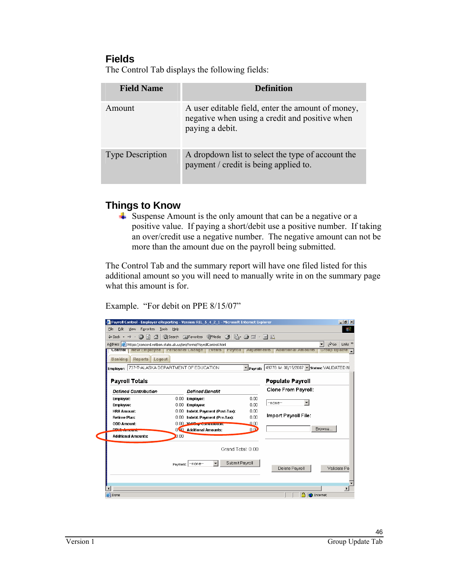#### **Fields**

The Control Tab displays the following fields:

| <b>Field Name</b>       | <b>Definition</b>                                                                                                      |
|-------------------------|------------------------------------------------------------------------------------------------------------------------|
| Amount                  | A user editable field, enter the amount of money,<br>negative when using a credit and positive when<br>paying a debit. |
| <b>Type Description</b> | A dropdown list to select the type of account the<br>payment / credit is being applied to.                             |

## **Things to Know**

Suspense Amount is the only amount that can be a negative or a positive value. If paying a short/debit use a positive number. If taking an over/credit use a negative number. The negative amount can not be more than the amount due on the payroll being submitted.

The Control Tab and the summary report will have one filed listed for this additional amount so you will need to manually write in on the summary page what this amount is for.

Example. "For debit on PPE 8/15/07"

| Payroll Control - Employer eReporting - Version: REL_5_4_2_1 - Microsoft Internet Explorer |      |                                                    |                    |                                                     | $-10x$                    |
|--------------------------------------------------------------------------------------------|------|----------------------------------------------------|--------------------|-----------------------------------------------------|---------------------------|
| Edit<br><b>View</b><br><b>Favorites</b><br>Tools<br>File                                   | Help |                                                    |                    |                                                     | 御                         |
|                                                                                            |      |                                                    |                    |                                                     |                           |
| Address <b>&amp;</b> https://concord.retben.state.ak.us/ers/forms/PayrollControl.html      |      |                                                    |                    |                                                     | $\approx$ Go<br>Links $"$ |
| $\overline{\text{control}}$                                                                |      | New Employee   Personnel Change   Events   Payroll | <b>Adjustments</b> | <b>Additional Amounts</b>                           | Group update .            |
| <b>Banking</b><br><b>Reports</b><br>Logout                                                 |      |                                                    |                    |                                                     |                           |
| Employer: 737-T-ALASKA DEPARTMENT OF EDUCATION                                             |      |                                                    |                    | Payroll: 49778: M: 08/15/2007 - Status: VALIDATED N |                           |
|                                                                                            |      |                                                    |                    |                                                     |                           |
| <b>Payroll Totals</b>                                                                      |      |                                                    |                    | <b>Populate Payroll</b>                             |                           |
| <b>Defined Contribution</b>                                                                |      | <b>Defined Benefit</b>                             |                    | Clone From Payroll:                                 |                           |
| Employer:                                                                                  | 0.00 | Employer:                                          | 0.00               |                                                     |                           |
| Employee:                                                                                  | 0.00 | <b>Employee:</b>                                   | 0.00               | $-$ none $-$                                        |                           |
| <b>HRA Amount:</b>                                                                         | 0.00 | Indebt. Payment (Post-Tax):                        | 0.00               |                                                     |                           |
| <b>Retiree Plan:</b>                                                                       | 0.00 | Indebt. Payment (Pre-Tax):                         | 0.00               | Import Payroll File:                                |                           |
| <b>ODD Amount:</b>                                                                         |      | 0.00 Vol. Say, Continuation.                       | 0.00               |                                                     |                           |
| <b>DRUM Amount</b>                                                                         |      | 000 Additional Amounts:                            | 0.00               | Browse                                              |                           |
| <b>Additional Amounts:</b>                                                                 | 0.00 |                                                    |                    |                                                     |                           |
|                                                                                            |      | Grand Total: 0.00                                  |                    |                                                     |                           |
|                                                                                            |      |                                                    |                    |                                                     |                           |
|                                                                                            |      | Submit Payroll<br>$\overline{\phantom{a}}$         |                    |                                                     |                           |
|                                                                                            |      | Payment:  -none-                                   |                    | Delete Payroll                                      | Validate Pa               |
|                                                                                            |      |                                                    |                    |                                                     |                           |
|                                                                                            |      |                                                    |                    |                                                     |                           |
|                                                                                            |      |                                                    |                    |                                                     |                           |
|                                                                                            |      |                                                    |                    |                                                     | $\mathbf{F}$              |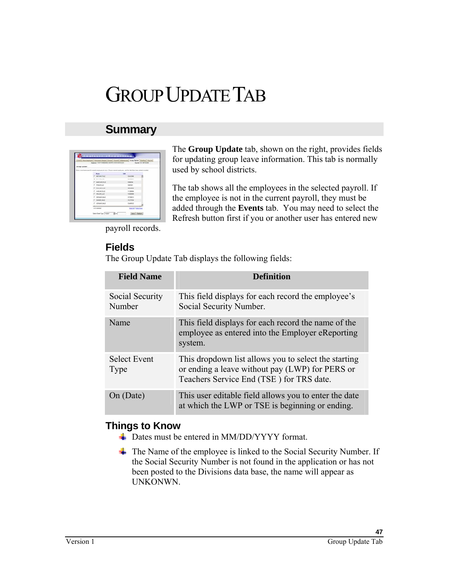# GROUP UPDATE TAB

## **Summary**

|                | <b>Premyer: 116-F-FARBASED NORTH STAR BOROUGH</b> | anni Bachatore   Fannel Louis   Frank   Face   Abonnot   Gray Tyden   Battis   Frank<br>Payme 3 to controllers.              |
|----------------|---------------------------------------------------|------------------------------------------------------------------------------------------------------------------------------|
| Immap Lipslate |                                                   |                                                                                                                              |
|                |                                                   | the a new least prest for several angelesmes at abus. Cleanus several employees, and the data their busin started in problet |
|                | <b>Business</b>                                   | <b>ASK</b>                                                                                                                   |
|                | IT  INCITEANS FISLE                               | <b>HOATMAN</b>                                                                                                               |
|                | P. SAMERE                                         | <b>Including Corp.</b>                                                                                                       |
|                | IT MARCHRISCLE                                    | streamed                                                                                                                     |
|                | C. PHURLLE                                        | <b>SOUTHERN</b>                                                                                                              |
|                | <b>C. PALLARISLE</b>                              | stellatetra                                                                                                                  |
|                | <b>C. KARARALE</b>                                | 111206304                                                                                                                    |
|                | <b>T. MUMILIP</b>                                 | <b><i>LESSING</i></b>                                                                                                        |
|                | IT JENNAMER                                       | 12720012                                                                                                                     |
|                | <b>T. DAMAGAKA</b>                                | 10022904                                                                                                                     |
|                | IT: 4816647,096.2                                 | 10 MINUTE                                                                                                                    |
|                | <b>AB LONG</b>                                    | 14                                                                                                                           |

The **Group Update** tab, shown on the right, provides fields for updating group leave information. This tab is normally used by school districts.

The tab shows all the employees in the selected payroll. If the employee is not in the current payroll, they must be added through the **Events** tab. You may need to select the Refresh button first if you or another user has entered new

payroll records.

### **Fields**

The Group Update Tab displays the following fields:

| <b>Field Name</b>           | <b>Definition</b>                                                                                                                                   |
|-----------------------------|-----------------------------------------------------------------------------------------------------------------------------------------------------|
| Social Security<br>Number   | This field displays for each record the employee's<br>Social Security Number.                                                                       |
| Name                        | This field displays for each record the name of the<br>employee as entered into the Employer eReporting<br>system.                                  |
| <b>Select Event</b><br>Type | This dropdown list allows you to select the starting<br>or ending a leave without pay (LWP) for PERS or<br>Teachers Service End (TSE) for TRS date. |
| On (Date)                   | This user editable field allows you to enter the date<br>at which the LWP or TSE is beginning or ending.                                            |

### **Things to Know**

- Dates must be entered in MM/DD/YYYY format.
- $\overline{\phantom{a}}$  The Name of the employee is linked to the Social Security Number. If the Social Security Number is not found in the application or has not been posted to the Divisions data base, the name will appear as UNKONWN.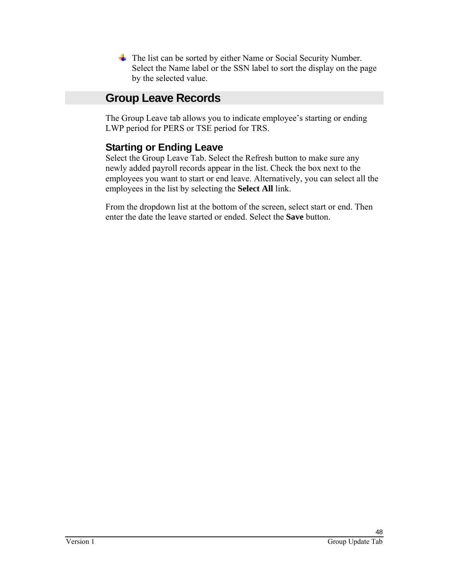The list can be sorted by either Name or Social Security Number. Select the Name label or the SSN label to sort the display on the page by the selected value.

## **Group Leave Records**

The Group Leave tab allows you to indicate employee's starting or ending LWP period for PERS or TSE period for TRS.

## **Starting or Ending Leave**

Select the Group Leave Tab. Select the Refresh button to make sure any newly added payroll records appear in the list. Check the box next to the employees you want to start or end leave. Alternatively, you can select all the employees in the list by selecting the **Select All** link.

From the dropdown list at the bottom of the screen, select start or end. Then enter the date the leave started or ended. Select the **Save** button.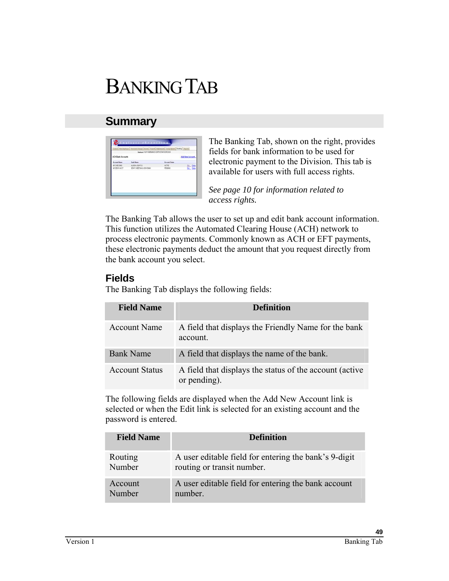# BANKING TAB

## **Summary**

|                          | [ Social Social Promotions   Zoon   Panil   Aleman   Issue Islan   Balley   Reach<br>Beginsen 116-F-FARISANCE INDETTY STAR BOROUGH |                      |                  |
|--------------------------|------------------------------------------------------------------------------------------------------------------------------------|----------------------|------------------|
| <b>ACH Bank Accounts</b> |                                                                                                                                    |                      | Addition Account |
| <b>Account Name</b>      | <b>East Name</b>                                                                                                                   | <b>Account State</b> |                  |
| MY DECKRG                | ALASKA LISA FOJ                                                                                                                    | ACTM.                | EM  CHAN         |
| MY DEWY ACCT             | DENY CHEESING HOW BANK                                                                                                             | PENDING              | <b>EALL</b> DOM  |
|                          |                                                                                                                                    |                      |                  |
|                          |                                                                                                                                    |                      |                  |
|                          |                                                                                                                                    |                      |                  |
|                          |                                                                                                                                    |                      |                  |

The Banking Tab, shown on the right, provides fields for bank information to be used for electronic payment to the Division. This tab is available for users with full access rights.

*See page 10 for information related to access rights.* 

The Banking Tab allows the user to set up and edit bank account information. This function utilizes the Automated Clearing House (ACH) network to process electronic payments. Commonly known as ACH or EFT payments, these electronic payments deduct the amount that you request directly from the bank account you select.

#### **Fields**

The Banking Tab displays the following fields:

| <b>Field Name</b>     | <b>Definition</b>                                                       |
|-----------------------|-------------------------------------------------------------------------|
| <b>Account Name</b>   | A field that displays the Friendly Name for the bank<br>account.        |
| <b>Bank Name</b>      | A field that displays the name of the bank.                             |
| <b>Account Status</b> | A field that displays the status of the account (active<br>or pending). |

The following fields are displayed when the Add New Account link is selected or when the Edit link is selected for an existing account and the password is entered.

| <b>Field Name</b> | <b>Definition</b>                                     |
|-------------------|-------------------------------------------------------|
| Routing           | A user editable field for entering the bank's 9-digit |
| Number            | routing or transit number.                            |
| Account           | A user editable field for entering the bank account   |
| Number            | number.                                               |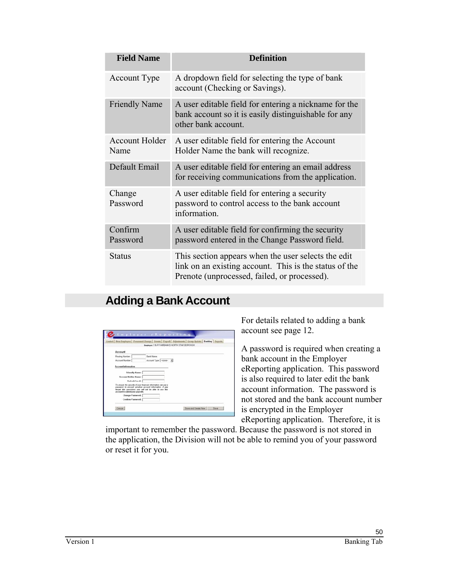| <b>Field Name</b>             | <b>Definition</b>                                                                                                                                             |
|-------------------------------|---------------------------------------------------------------------------------------------------------------------------------------------------------------|
| Account Type                  | A dropdown field for selecting the type of bank<br>account (Checking or Savings).                                                                             |
| <b>Friendly Name</b>          | A user editable field for entering a nickname for the<br>bank account so it is easily distinguishable for any<br>other bank account.                          |
| <b>Account Holder</b><br>Name | A user editable field for entering the Account<br>Holder Name the bank will recognize.                                                                        |
| Default Email                 | A user editable field for entering an email address<br>for receiving communications from the application.                                                     |
| Change<br>Password            | A user editable field for entering a security<br>password to control access to the bank account<br>information.                                               |
| Confirm<br>Password           | A user editable field for confirming the security<br>password entered in the Change Password field.                                                           |
| Status                        | This section appears when the user selects the edit<br>link on an existing account. This is the status of the<br>Prenote (unprocessed, failed, or processed). |

## **Adding a Bank Account**

|                                              |                                                                                                                                                                                       | Control   New Employee   Possonnel Change   Events   Payroll   Adjustments   Group Update   Banking   Reports |  |
|----------------------------------------------|---------------------------------------------------------------------------------------------------------------------------------------------------------------------------------------|---------------------------------------------------------------------------------------------------------------|--|
|                                              | fingtowe: 116-P-FAIRBANKS NORTH STAR BOROUGH                                                                                                                                          |                                                                                                               |  |
| Account                                      |                                                                                                                                                                                       |                                                                                                               |  |
| Routing Number:                              | <b>Bank Name</b>                                                                                                                                                                      |                                                                                                               |  |
| <b>Account Number</b>                        | Account Type: - none- M                                                                                                                                                               |                                                                                                               |  |
| <b>Account Information</b><br>Felondly Name: |                                                                                                                                                                                       |                                                                                                               |  |
| <b>Account Holder Name:</b>                  |                                                                                                                                                                                       |                                                                                                               |  |
| <b>Default Email:</b>                        |                                                                                                                                                                                       |                                                                                                               |  |
| account to submit your payrolls.             | To ensure the security of your financial information, we use a<br>password to encrypt sensitive account information. If you<br>forget this password, you will not be able to use this |                                                                                                               |  |
| Change Password:                             |                                                                                                                                                                                       |                                                                                                               |  |
| Confirm Password:                            |                                                                                                                                                                                       |                                                                                                               |  |

For details related to adding a bank account see page 12.

A password is required when creating a bank account in the Employer eReporting application. This password is also required to later edit the bank account information. The password is not stored and the bank account number is encrypted in the Employer eReporting application. Therefore, it is

important to remember the password. Because the password is not stored in the application, the Division will not be able to remind you of your password or reset it for you.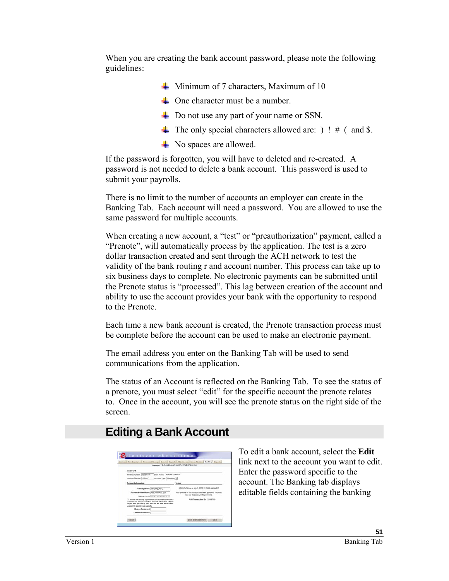When you are creating the bank account password, please note the following guidelines:

- $\frac{1}{\sqrt{1}}$  Minimum of 7 characters, Maximum of 10
- $\leftarrow$  One character must be a number.
- **►** Do not use any part of your name or SSN.
- $\overline{\text{I}}$  The only special characters allowed are: ) ! # ( and \$.
- **►** No spaces are allowed.

If the password is forgotten, you will have to deleted and re-created. A password is not needed to delete a bank account. This password is used to submit your payrolls.

There is no limit to the number of accounts an employer can create in the Banking Tab. Each account will need a password. You are allowed to use the same password for multiple accounts.

When creating a new account, a "test" or "preauthorization" payment, called a "Prenote", will automatically process by the application. The test is a zero dollar transaction created and sent through the ACH network to test the validity of the bank routing r and account number. This process can take up to six business days to complete. No electronic payments can be submitted until the Prenote status is "processed". This lag between creation of the account and ability to use the account provides your bank with the opportunity to respond to the Prenote.

Each time a new bank account is created, the Prenote transaction process must be complete before the account can be used to make an electronic payment.

The email address you enter on the Banking Tab will be used to send communications from the application.

The status of an Account is reflected on the Banking Tab. To see the status of a prenote, you must select "edit" for the specific account the prenote relates to. Once in the account, you will see the prenote status on the right side of the screen.

## **Editing a Bank Account**

|                                                                                                                                                                                                                           | Control: New Engleswe   Passessel Chappel   Pagesti   Adjaminate   Group Update   Bankhea   Region |  |
|---------------------------------------------------------------------------------------------------------------------------------------------------------------------------------------------------------------------------|----------------------------------------------------------------------------------------------------|--|
|                                                                                                                                                                                                                           | <b>Regisses: 116.P-FARISANKS NORTH STAR BOROUGH</b>                                                |  |
| Accourd                                                                                                                                                                                                                   |                                                                                                    |  |
| Routing Number 12/5608794<br><b>Bank Name ALABOLUSATCU</b>                                                                                                                                                                |                                                                                                    |  |
| Account Number 1234587<br>Account Type: Checking #                                                                                                                                                                        |                                                                                                    |  |
| Access beloves of an                                                                                                                                                                                                      | <b>Status</b>                                                                                      |  |
| Friendly Name: NV (2-EC124).                                                                                                                                                                                              | APPROVED as at July 3, 2005 12:00:00 AM AKDT                                                       |  |
| Access Holder Name: ANCHORAGE SD                                                                                                                                                                                          | Your prenute for this account has been approved. You may                                           |  |
| Defends Email: Imprinciply great cor-                                                                                                                                                                                     | now use this account for payments.                                                                 |  |
| To ensure the security of your financial information, we use a<br>passeord to encrypt sensitive account information. If your<br>forget this password, you will not be able to use this<br>account to submit your aggroßy. | ACH Transaction ID: 12345209                                                                       |  |
| Change Password:                                                                                                                                                                                                          |                                                                                                    |  |
| Craftes Password:                                                                                                                                                                                                         |                                                                                                    |  |

To edit a bank account, select the **Edit** link next to the account you want to edit. Enter the password specific to the account. The Banking tab displays editable fields containing the banking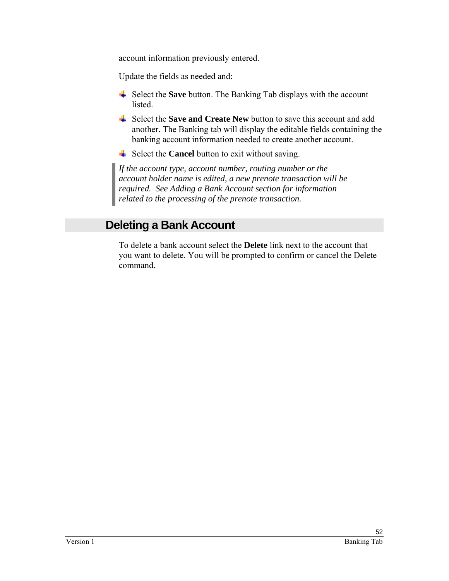account information previously entered.

Update the fields as needed and:

- Select the **Save** button. The Banking Tab displays with the account listed.
- Select the **Save and Create New** button to save this account and add another. The Banking tab will display the editable fields containing the banking account information needed to create another account.
- Select the **Cancel** button to exit without saving.

*If the account type, account number, routing number or the account holder name is edited, a new prenote transaction will be required. See Adding a Bank Account section for information related to the processing of the prenote transaction.* 

## **Deleting a Bank Account**

To delete a bank account select the **Delete** link next to the account that you want to delete. You will be prompted to confirm or cancel the Delete command.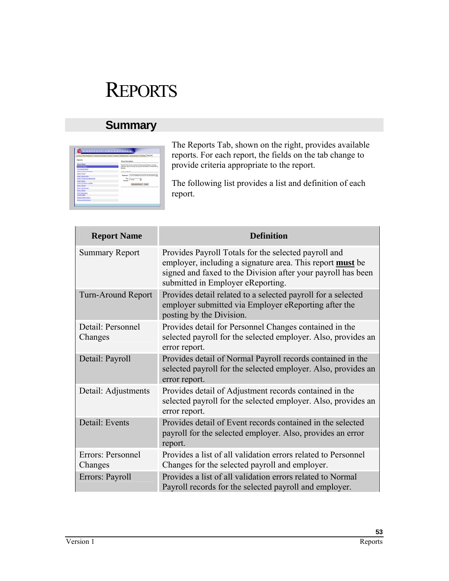# **REPORTS**

## **Summary**

|                                            | And I additional Present Classic (Road   Additional Lista National Reserves) |
|--------------------------------------------|------------------------------------------------------------------------------|
| <b>Negromen</b>                            | <b>Report Enverignment</b>                                                   |
| <b>Input Raps</b>                          | Faced Touch by the interior Paced and Engineer, builde                       |
| ames front                                 | ingrature area for forms your pound information to framework                 |
| <b><i>Call Antonio Pressure</i></b>        | <b>Banchy</b>                                                                |
| <b>Edal Patental Daney</b>                 | <b>Report Sydney</b>                                                         |
| <b>Died, Faund</b>                         | Regisser: (116.4-Forebook Licenter Class business)                           |
| <b>Court Advisorers</b>                    |                                                                              |
| Debit, Facult Jost Advisorments            | $\frac{2\pi}{2}$ and $\frac{2\pi}{2}$                                        |
| <b>Catal Easts</b>                         |                                                                              |
| Come Passeng Chesse                        | Seem herf (Ore)                                                              |
| <b>Dani, Paud</b>                          |                                                                              |
| <b>Cres Adustrats</b><br><b>Dona Sweet</b> |                                                                              |
| ADI Terratives                             |                                                                              |
| <b>Chevrolet State 14</b>                  |                                                                              |
| <b>Crainet Fax Hotes</b>                   |                                                                              |
| <b>Craining Ties Nitted</b>                |                                                                              |

The Reports Tab, shown on the right, provides available reports. For each report, the fields on the tab change to provide criteria appropriate to the report.

The following list provides a list and definition of each report.

| <b>Report Name</b>           | <b>Definition</b>                                                                                                                                                                                                             |
|------------------------------|-------------------------------------------------------------------------------------------------------------------------------------------------------------------------------------------------------------------------------|
| <b>Summary Report</b>        | Provides Payroll Totals for the selected payroll and<br>employer, including a signature area. This report <b>must</b> be<br>signed and faxed to the Division after your payroll has been<br>submitted in Employer eReporting. |
| <b>Turn-Around Report</b>    | Provides detail related to a selected payroll for a selected<br>employer submitted via Employer eReporting after the<br>posting by the Division.                                                                              |
| Detail: Personnel<br>Changes | Provides detail for Personnel Changes contained in the<br>selected payroll for the selected employer. Also, provides an<br>error report.                                                                                      |
| Detail: Payroll              | Provides detail of Normal Payroll records contained in the<br>selected payroll for the selected employer. Also, provides an<br>error report.                                                                                  |
| Detail: Adjustments          | Provides detail of Adjustment records contained in the<br>selected payroll for the selected employer. Also, provides an<br>error report.                                                                                      |
| Detail: Events               | Provides detail of Event records contained in the selected<br>payroll for the selected employer. Also, provides an error<br>report.                                                                                           |
| Errors: Personnel<br>Changes | Provides a list of all validation errors related to Personnel<br>Changes for the selected payroll and employer.                                                                                                               |
| Errors: Payroll              | Provides a list of all validation errors related to Normal<br>Payroll records for the selected payroll and employer.                                                                                                          |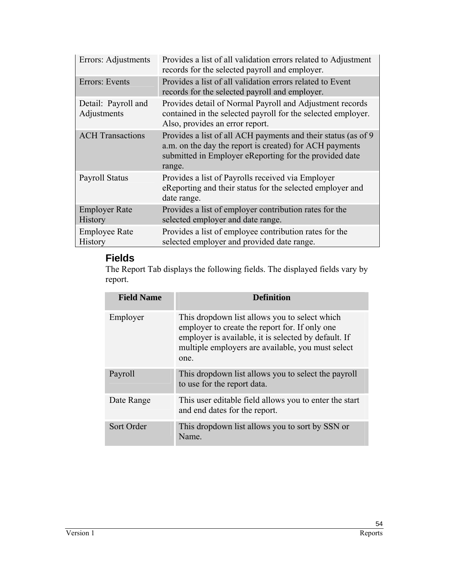| Errors: Adjustments                    | Provides a list of all validation errors related to Adjustment<br>records for the selected payroll and employer.                                                                             |
|----------------------------------------|----------------------------------------------------------------------------------------------------------------------------------------------------------------------------------------------|
| Errors: Events                         | Provides a list of all validation errors related to Event<br>records for the selected payroll and employer.                                                                                  |
| Detail: Payroll and<br>Adjustments     | Provides detail of Normal Payroll and Adjustment records<br>contained in the selected payroll for the selected employer.<br>Also, provides an error report.                                  |
| <b>ACH</b> Transactions                | Provides a list of all ACH payments and their status (as of 9<br>a.m. on the day the report is created) for ACH payments<br>submitted in Employer eReporting for the provided date<br>range. |
| <b>Payroll Status</b>                  | Provides a list of Payrolls received via Employer<br>eReporting and their status for the selected employer and<br>date range.                                                                |
| <b>Employer Rate</b><br><b>History</b> | Provides a list of employer contribution rates for the<br>selected employer and date range.                                                                                                  |
| <b>Employee Rate</b><br><b>History</b> | Provides a list of employee contribution rates for the<br>selected employer and provided date range.                                                                                         |

## **Fields**

The Report Tab displays the following fields. The displayed fields vary by report.

| <b>Field Name</b> | <b>Definition</b>                                                                                                                                                                                                    |
|-------------------|----------------------------------------------------------------------------------------------------------------------------------------------------------------------------------------------------------------------|
| Employer          | This dropdown list allows you to select which<br>employer to create the report for. If only one<br>employer is available, it is selected by default. If<br>multiple employers are available, you must select<br>one. |
| Payroll           | This dropdown list allows you to select the payroll<br>to use for the report data.                                                                                                                                   |
| Date Range        | This user editable field allows you to enter the start<br>and end dates for the report.                                                                                                                              |
| Sort Order        | This dropdown list allows you to sort by SSN or<br>Name.                                                                                                                                                             |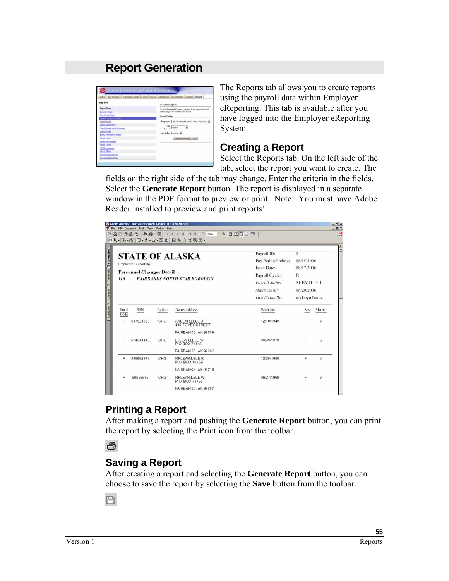## **Report Generation**

|                                     | Control: New Englope: Personnel Change: Events: Pagnill: Adjustments: Secon Update: Banking   Reports |
|-------------------------------------|-------------------------------------------------------------------------------------------------------|
| Reports                             | <b>Report Description</b>                                                                             |
| <b>Report Name</b>                  | Detail of Personnel Changes contained in the selected payroll                                         |
| <b>Dummary Report</b>               | and employer. Includes the Error Report.                                                              |
| <b>Turn Around Report</b>           | <b>Report Options</b>                                                                                 |
| <b>Entert Fernand Charges</b>       |                                                                                                       |
| Detail Payed                        | Employer: 115-P-FARISAULS NORTH STAR BOROU IN                                                         |
| <b>Ortal: Adjustments</b>           | Pay                                                                                                   |
| <b>Cetal Payrol and Adjustments</b> | э<br>vesteler-<br>Period                                                                              |
| Detail Events                       | Sent Order: - none- W                                                                                 |
| Ernes, Fernestel Changes            |                                                                                                       |
| Emery Payroll                       | Generate Report   Clear                                                                               |
| Eron: Abutmets                      |                                                                                                       |
| <b>Eron: Events</b>                 |                                                                                                       |
| <b>ACH Transactions</b>             |                                                                                                       |
| <b>Parroll Shahan</b>               |                                                                                                       |
| <b>Employer Rate Matters</b>        |                                                                                                       |
| Employee Rate Hotory                |                                                                                                       |

The Reports tab allows you to create reports using the payroll data within Employer eReporting. This tab is available after you have logged into the Employer eReporting System.

#### **Creating a Report**

Select the Reports tab. On the left side of the tab, select the report you want to create. The

fields on the right side of the tab may change. Enter the criteria in the fields. Select the **Generate Report** button. The report is displayed in a separate window in the PDF format to preview or print. Note: You must have Adobe Reader installed to preview and print reports!

| <b>STATE OF ALASKA</b><br><b>Employer eReporting</b><br><b>Personnel Changes Detail</b><br><b>FAIRBANKS NORTH STAR BOROUGH</b><br>116 | Payroll ID:<br>Pay Period Ending:<br>Issue Date:<br>Payroll Cycle:<br>Pavroll Status: | 3<br>08/15/2006<br>08/17/2006<br>B<br><b>SUBMITTED</b> |         |
|---------------------------------------------------------------------------------------------------------------------------------------|---------------------------------------------------------------------------------------|--------------------------------------------------------|---------|
|                                                                                                                                       |                                                                                       |                                                        |         |
|                                                                                                                                       |                                                                                       |                                                        |         |
|                                                                                                                                       |                                                                                       |                                                        |         |
|                                                                                                                                       |                                                                                       |                                                        |         |
|                                                                                                                                       |                                                                                       |                                                        |         |
|                                                                                                                                       | Status As of:                                                                         | 08/20/2006                                             |         |
|                                                                                                                                       | Last Status By:                                                                       | myLoginName                                            |         |
| Name/Address<br>Fund<br>SSN<br>Action<br>Code                                                                                         | Birthdate                                                                             | Sex.                                                   | Marital |
| P<br>517521530<br>CHG<br>ANLEAR.LELE J<br>410 TOVEY STREET                                                                            | 12/10/1949                                                                            | F                                                      | м       |
| FAIRBANKS, AK 99709                                                                                                                   |                                                                                       |                                                        |         |
| P<br>574541143<br>CHG<br><b>EJLEAR LELE W</b><br>P.O.BOX 74448                                                                        | 06/09/1979                                                                            | F                                                      | S       |
| FAIRBANKS, AK 99707                                                                                                                   |                                                                                       |                                                        |         |
| P<br>518562979<br>CHG<br>RRLEAR LELE R<br>P.O. BOX 10769                                                                              | 12/26/1950                                                                            | F                                                      | M       |
| FAIRBANKS, AK 99710                                                                                                                   |                                                                                       |                                                        |         |

## **Printing a Report**

After making a report and pushing the **Generate Report** button, you can print the report by selecting the Print icon from the toolbar.

5

## **Saving a Report**

After creating a report and selecting the **Generate Report** button, you can choose to save the report by selecting the **Save** button from the toolbar.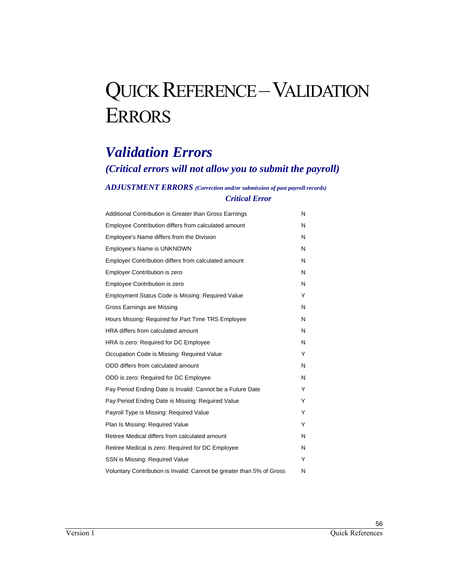# QUICK REFERENCE - VALIDATION ERRORS

## *Validation Errors*

## *(Critical errors will not allow you to submit the payroll)*

#### *ADJUSTMENT ERRORS (Correction and/or submission of past payroll records) Critical Error*

| Additional Contribution is Greater than Gross Earnings                | N |
|-----------------------------------------------------------------------|---|
| Employee Contribution differs from calculated amount                  | N |
| Employee's Name differs from the Division                             | N |
| Employee's Name is UNKNOWN                                            | N |
| Employer Contribution differs from calculated amount                  | N |
| <b>Employer Contribution is zero</b>                                  | N |
| <b>Employee Contribution is zero</b>                                  | N |
| Employment Status Code is Missing: Required Value                     | Υ |
| Gross Earnings are Missing                                            | N |
| Hours Missing: Required for Part Time TRS Employee                    | N |
| HRA differs from calculated amount                                    | N |
| HRA is zero: Required for DC Employee                                 | N |
| Occupation Code is Missing: Required Value                            | Y |
| ODD differs from calculated amount                                    | N |
| ODD is zero: Required for DC Employee                                 | N |
| Pay Period Ending Date is Invalid: Cannot be a Future Date            | Υ |
| Pay Period Ending Date is Missing: Required Value                     | Υ |
| Payroll Type is Missing: Required Value                               | Y |
| Plan Is Missing: Required Value                                       | Y |
| Retiree Medical differs from calculated amount                        | N |
| Retiree Medical is zero: Required for DC Employee                     | N |
| SSN is Missing: Required Value                                        | Υ |
| Voluntary Contribution is Invalid: Cannot be greater than 5% of Gross | N |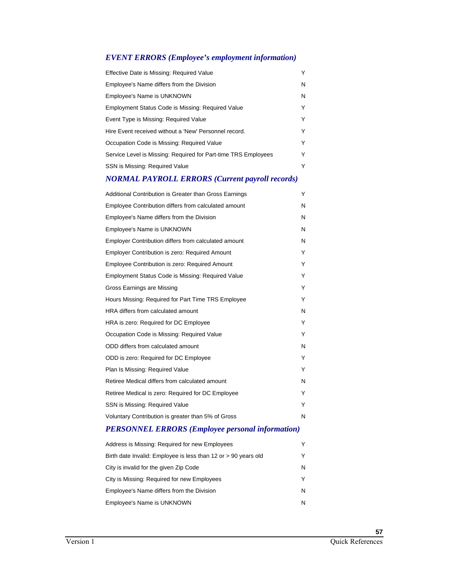#### *EVENT ERRORS (Employee's employment information)*

| Effective Date is Missing: Required Value                      |   |  |  |  |  |  |
|----------------------------------------------------------------|---|--|--|--|--|--|
| Employee's Name differs from the Division                      | N |  |  |  |  |  |
| Employee's Name is UNKNOWN                                     | N |  |  |  |  |  |
| Employment Status Code is Missing: Required Value              | Y |  |  |  |  |  |
| Event Type is Missing: Required Value                          | Y |  |  |  |  |  |
| Hire Event received without a 'New' Personnel record.          |   |  |  |  |  |  |
| Occupation Code is Missing: Required Value                     | Y |  |  |  |  |  |
| Service Level is Missing: Required for Part-time TRS Employees |   |  |  |  |  |  |
| SSN is Missing: Required Value                                 | Y |  |  |  |  |  |

#### *NORMAL PAYROLL ERRORS (Current payroll records)*

| Additional Contribution is Greater than Gross Earnings | Y |
|--------------------------------------------------------|---|
| Employee Contribution differs from calculated amount   | N |
| Employee's Name differs from the Division              | N |
| <b>Employee's Name is UNKNOWN</b>                      | N |
| Employer Contribution differs from calculated amount   | N |
| <b>Employer Contribution is zero: Required Amount</b>  | Y |
| Employee Contribution is zero: Required Amount         | Y |
| Employment Status Code is Missing: Required Value      | Υ |
| Gross Earnings are Missing                             | Y |
| Hours Missing: Required for Part Time TRS Employee     | Y |
| HRA differs from calculated amount                     | N |
| HRA is zero: Required for DC Employee                  | Y |
| Occupation Code is Missing: Required Value             | Y |
| ODD differs from calculated amount                     | N |
| ODD is zero: Required for DC Employee                  | Y |
| Plan Is Missing: Required Value                        | Y |
| Retiree Medical differs from calculated amount         | N |
| Retiree Medical is zero: Required for DC Employee      | Y |
| SSN is Missing: Required Value                         | Y |
| Voluntary Contribution is greater than 5% of Gross     | N |
|                                                        |   |

#### *PERSONNEL ERRORS (Employee personal information)*

| Address is Missing: Required for new Employees                 | Υ |
|----------------------------------------------------------------|---|
| Birth date Invalid: Employee is less than 12 or > 90 years old | Υ |
| City is invalid for the given Zip Code                         | N |
| City is Missing: Required for new Employees                    | Υ |
| Employee's Name differs from the Division                      | N |
| Employee's Name is UNKNOWN                                     | N |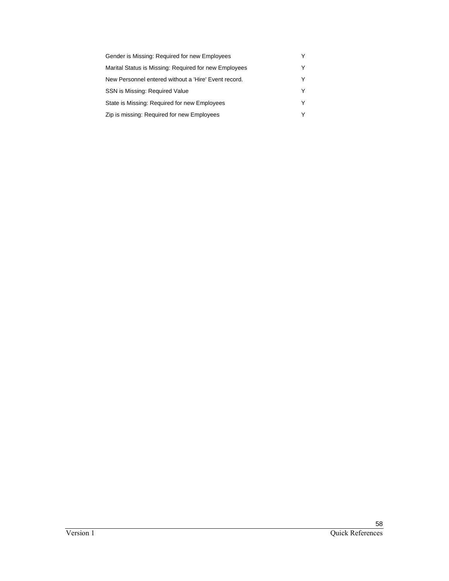| Gender is Missing: Required for new Employees         | Y |
|-------------------------------------------------------|---|
| Marital Status is Missing: Required for new Employees | Y |
| New Personnel entered without a 'Hire' Event record.  | Y |
| SSN is Missing: Required Value                        | Y |
| State is Missing: Required for new Employees          | Y |
| Zip is missing: Required for new Employees            | Y |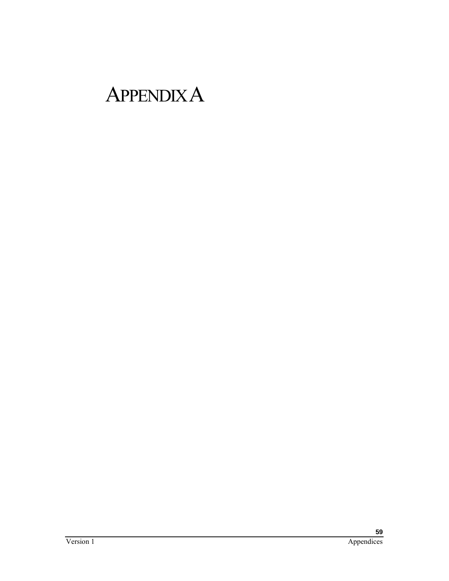# APPENDIX A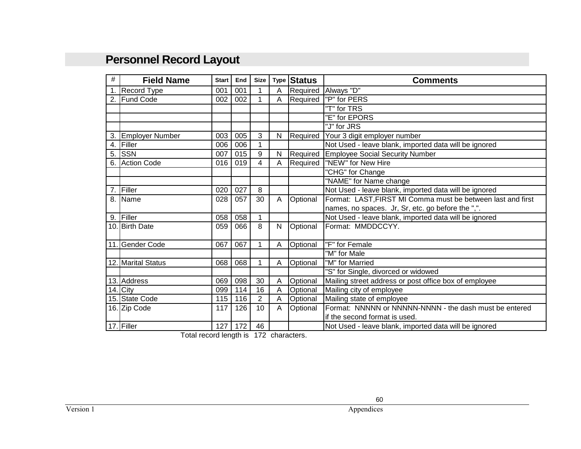## **Personnel Record Layout**

| #   | <b>Field Name</b>      | <b>Start</b> | End | Size | <b>Type</b> | <b>Status</b> | <b>Comments</b>                                             |  |
|-----|------------------------|--------------|-----|------|-------------|---------------|-------------------------------------------------------------|--|
| 1.  | Record Type            | 001          | 001 |      | Α           | Required      | Always "D"                                                  |  |
| 2.  | <b>Fund Code</b>       | 002          | 002 | 1    | A           | Required      | "P" for PERS                                                |  |
|     |                        |              |     |      |             |               | "T" for TRS                                                 |  |
|     |                        |              |     |      |             |               | "E" for EPORS                                               |  |
|     |                        |              |     |      |             |               | "J" for JRS                                                 |  |
| 3.  | <b>Employer Number</b> | 003          | 005 | 3    | N           | Required      | Your 3 digit employer number                                |  |
| 4.  | Filler                 | 006          | 006 | 1    |             |               | Not Used - leave blank, imported data will be ignored       |  |
| 5.  | <b>SSN</b>             | 007          | 015 | 9    | N           | Required      | <b>Employee Social Security Number</b>                      |  |
| 6.  | <b>Action Code</b>     | 016          | 019 | 4    | А           | Required      | "NEW" for New Hire                                          |  |
|     |                        |              |     |      |             |               | "CHG" for Change                                            |  |
|     |                        |              |     |      |             |               | "NAME" for Name change                                      |  |
| 7.  | Filler                 | 020          | 027 | 8    |             |               | Not Used - leave blank, imported data will be ignored       |  |
| 8.  | Name                   | 028          | 057 | 30   | A           | Optional      | Format: LAST, FIRST MI Comma must be between last and first |  |
|     |                        |              |     |      |             |               | names, no spaces. Jr, Sr, etc. go before the ",".           |  |
| 9.  | Filler                 | 058          | 058 | 1    |             |               | Not Used - leave blank, imported data will be ignored       |  |
|     | 10. Birth Date         | 059          | 066 | 8    | N           | Optional      | Format: MMDDCCYY.                                           |  |
|     |                        |              |     |      |             |               |                                                             |  |
| 11. | <b>Gender Code</b>     | 067          | 067 | 1    | Α           | Optional      | "F" for Female                                              |  |
|     |                        |              |     |      |             |               | "M" for Male                                                |  |
|     | 12. Marital Status     | 068          | 068 | 1    | Α           | Optional      | "M" for Married                                             |  |
|     |                        |              |     |      |             |               | "S" for Single, divorced or widowed                         |  |
|     | 13. Address            | 069          | 098 | 30   | Α           | Optional      | Mailing street address or post office box of employee       |  |
|     | 14. City               | 099          | 114 | 16   | Α           | Optional      | Mailing city of employee                                    |  |
|     | 15. State Code         | 115          | 116 | 2    | A           | Optional      | Mailing state of employee                                   |  |
|     | 16. Zip Code           | 117          | 126 | 10   | A           | Optional      | Format: NNNNN or NNNNN-NNNN - the dash must be entered      |  |
|     |                        |              |     |      |             |               | if the second format is used.                               |  |
|     | 17. Filler             | 127          | 172 | 46   |             |               | Not Used - leave blank, imported data will be ignored       |  |

Total record length is 172 characters.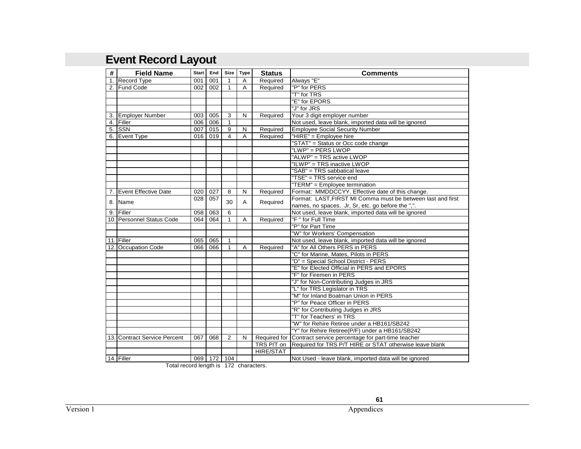## **Event Record Layout**

| #  | <b>Field Name</b>            | Start I | End     | <b>Size</b>    | <b>Type</b> | <b>Status</b>    | <b>Comments</b>                                                |  |
|----|------------------------------|---------|---------|----------------|-------------|------------------|----------------------------------------------------------------|--|
| 1. | Record Type                  | 001     | 001     | 1              | Α           | Required         | Always "E"                                                     |  |
|    | 2. Fund Code                 | 002     | 002     | 1              | A           | Required         | "P" for PERS                                                   |  |
|    |                              |         |         |                |             |                  | "T" for TRS                                                    |  |
|    |                              |         |         |                |             |                  | "E" for EPORS                                                  |  |
|    |                              |         |         |                |             |                  | "J" for JRS                                                    |  |
|    | 3. Employer Number           | 003     | 005     | 3              | N           | Required         | Your 3 digit employer number                                   |  |
|    | 4. Filler                    | 006     | 006     | $\mathbf{1}$   |             |                  | Not used, leave blank, imported data will be ignored           |  |
| 5. | <b>SSN</b>                   | 007     | 015     | 9              | N           | Required         | <b>Employee Social Security Number</b>                         |  |
| 6. | <b>Event Type</b>            | 016 I   | 019     | $\overline{4}$ | A           | Required         | "HIRE" = Employee hire                                         |  |
|    |                              |         |         |                |             |                  | "STAT" = Status or Occ code change                             |  |
|    |                              |         |         |                |             |                  | "LWP" = PERS LWOP                                              |  |
|    |                              |         |         |                |             |                  | "ALWP" = TRS active LWOP                                       |  |
|    |                              |         |         |                |             |                  | "ILWP" = TRS inactive LWOP                                     |  |
|    |                              |         |         |                |             |                  | "SAB" = TRS sabbatical leave                                   |  |
|    |                              |         |         |                |             |                  | "TSE" = TRS service end                                        |  |
|    |                              |         |         |                |             |                  | "TERM" = Employee termination                                  |  |
|    | 7. Event Effective Date      | 020     | 027     | 8              | N           | Required         | Format: MMDDCCYY. Effective date of this change.               |  |
|    | 8. Name                      | 028     | 057     | 30             |             |                  | Format: LAST, FIRST MI Comma must be between last and first    |  |
|    |                              |         |         |                | A           | Required         | names, no spaces. Jr, Sr, etc. go before the ",".              |  |
|    | 9. Filler                    | 058     | 063     | 6              |             |                  | Not used, leave blank, imported data will be ignored           |  |
|    | 10. Personnel Status Code    | 064     | 064     | $\mathbf{1}$   | Α           | Required         | "F" for Full Time                                              |  |
|    |                              |         |         |                |             |                  | "P" for Part Time                                              |  |
|    |                              |         |         |                |             |                  | "W" for Workers' Compensation                                  |  |
|    | 11. Filler                   | 065     | 065     | $\mathbf{1}$   |             |                  | Not used, leave blank, imported data will be ignored           |  |
|    | 12. Occupation Code          | 066     | 066     | $\mathbf{1}$   | Α           | Required         | "A" for All Others PERS in PERS                                |  |
|    |                              |         |         |                |             |                  | "C" for Marine, Mates, Pilots in PERS                          |  |
|    |                              |         |         |                |             |                  | "D" = Special School District - PERS                           |  |
|    |                              |         |         |                |             |                  | "E" for Elected Official in PERS and EPORS                     |  |
|    |                              |         |         |                |             |                  | "F" for Firemen in PERS                                        |  |
|    |                              |         |         |                |             |                  | "J" for Non-Contributing Judges in JRS                         |  |
|    |                              |         |         |                |             |                  | "L" for TRS Legislator in TRS                                  |  |
|    |                              |         |         |                |             |                  | "M" for Inland Boatman Union in PERS                           |  |
|    |                              |         |         |                |             |                  | "P" for Peace Officer in PERS                                  |  |
|    |                              |         |         |                |             |                  | "R" for Contributing Judges in JRS                             |  |
|    |                              |         |         |                |             |                  | "T" for Teachers' in TRS                                       |  |
|    |                              |         |         |                |             |                  | "W" for Rehire Retiree under a HB161/SB242                     |  |
|    |                              |         |         |                |             |                  | "Y" for Rehire Retiree(P/F) under a HB161/SB242                |  |
|    | 13. Contract Service Percent | 067     | 068     | 2              | N           |                  | Required for Contract service percentage for part-time teacher |  |
|    |                              |         |         |                |             | TRS P/T on       | Required for TRS P/T HIRE or STAT otherwise leave blank        |  |
|    |                              |         |         |                |             | <b>HIRE/STAT</b> |                                                                |  |
|    | 14. Filler                   |         | 069 172 | 104            |             |                  | Not Used - leave blank, imported data will be ignored          |  |

Total record length is 172 characters.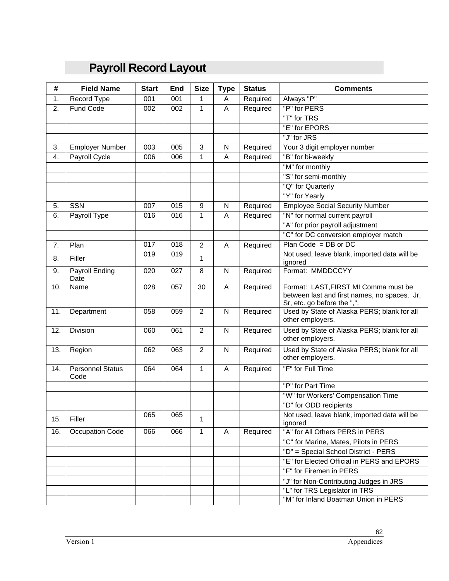## **Payroll Record Layout**

| #   | <b>Field Name</b>        | <b>Start</b> | <b>End</b> | <b>Size</b>    | <b>Type</b>  | <b>Status</b> | <b>Comments</b>                                                             |
|-----|--------------------------|--------------|------------|----------------|--------------|---------------|-----------------------------------------------------------------------------|
| 1.  | Record Type              | 001          | 001        | 1              | Α            | Required      | Always "P"                                                                  |
| 2.  | Fund Code                | 002          | 002        | 1              | Α            | Required      | "P" for PERS                                                                |
|     |                          |              |            |                |              |               | "T" for TRS                                                                 |
|     |                          |              |            |                |              |               | "E" for EPORS                                                               |
|     |                          |              |            |                |              |               | "J" for JRS                                                                 |
| 3.  | <b>Employer Number</b>   | 003          | 005        | 3              | N            | Required      | Your 3 digit employer number                                                |
| 4.  | <b>Payroll Cycle</b>     | 006          | 006        | 1              | Α            | Required      | "B" for bi-weekly                                                           |
|     |                          |              |            |                |              |               | "M" for monthly                                                             |
|     |                          |              |            |                |              |               | "S" for semi-monthly                                                        |
|     |                          |              |            |                |              |               | "Q" for Quarterly                                                           |
|     |                          |              |            |                |              |               | "Y" for Yearly                                                              |
| 5.  | <b>SSN</b>               | 007          | 015        | 9              | N            | Required      | <b>Employee Social Security Number</b>                                      |
| 6.  | Payroll Type             | 016          | 016        | 1              | A            | Required      | "N" for normal current payroll                                              |
|     |                          |              |            |                |              |               | "A" for prior payroll adjustment                                            |
|     |                          |              |            |                |              |               | "C" for DC conversion employer match                                        |
| 7.  | Plan                     | 017          | 018        | $\overline{2}$ | Α            | Required      | $Plan Code = DB or DC$                                                      |
| 8.  | Filler                   | 019          | 019        | 1              |              |               | Not used, leave blank, imported data will be<br>ignored                     |
| 9.  | Payroll Ending           | 020          | 027        | 8              | ${\sf N}$    | Required      | Format: MMDDCCYY                                                            |
| 10. | Date<br>Name             | 028          | 057        | 30             | Α            | Required      | Format: LAST, FIRST MI Comma must be                                        |
|     |                          |              |            |                |              |               | between last and first names, no spaces. Jr,<br>Sr, etc. go before the ",". |
| 11. | Department               | 058          | 059        | $\overline{2}$ | $\mathsf{N}$ | Required      | Used by State of Alaska PERS; blank for all                                 |
|     |                          |              |            |                |              |               | other employers.                                                            |
| 12. | Division                 | 060          | 061        | $\overline{2}$ | N            | Required      | Used by State of Alaska PERS; blank for all<br>other employers.             |
| 13. | Region                   | 062          | 063        | $\overline{2}$ | $\mathsf{N}$ | Required      | Used by State of Alaska PERS; blank for all<br>other employers.             |
| 14. | Personnel Status<br>Code | 064          | 064        | $\mathbf{1}$   | Α            | Required      | "F" for Full Time                                                           |
|     |                          |              |            |                |              |               | "P" for Part Time                                                           |
|     |                          |              |            |                |              |               | "W" for Workers' Compensation Time                                          |
|     |                          |              |            |                |              |               | "D" for ODD recipients                                                      |
| 15. | Filler                   | 065          | 065        | 1              |              |               | Not used, leave blank, imported data will be<br>ignored                     |
| 16. | Occupation Code          | 066          | 066        | $\mathbf{1}$   | A            | Required      | "A" for All Others PERS in PERS                                             |
|     |                          |              |            |                |              |               | "C" for Marine, Mates, Pilots in PERS                                       |
|     |                          |              |            |                |              |               | "D" = Special School District - PERS                                        |
|     |                          |              |            |                |              |               | "E" for Elected Official in PERS and EPORS                                  |
|     |                          |              |            |                |              |               | "F" for Firemen in PERS                                                     |
|     |                          |              |            |                |              |               | "J" for Non-Contributing Judges in JRS                                      |
|     |                          |              |            |                |              |               | "L" for TRS Legislator in TRS                                               |
|     |                          |              |            |                |              |               | "M" for Inland Boatman Union in PERS                                        |